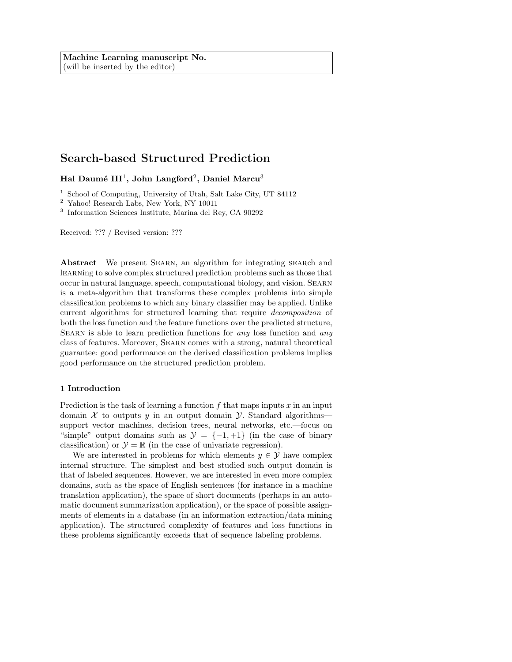# Search-based Structured Prediction

Hal Daumé III $^1$ , John Langford $^2$ , Daniel Marcu $^3$ 

<sup>1</sup> School of Computing, University of Utah, Salt Lake City, UT 84112

 $^2\,$  Yahoo! Research Labs, New York, NY 10011

3 Information Sciences Institute, Marina del Rey, CA 90292

Received: ??? / Revised version: ???

Abstract We present Searn, an algorithm for integrating search and learning to solve complex structured prediction problems such as those that occur in natural language, speech, computational biology, and vision. Searn is a meta-algorithm that transforms these complex problems into simple classification problems to which any binary classifier may be applied. Unlike current algorithms for structured learning that require decomposition of both the loss function and the feature functions over the predicted structure, SEARN is able to learn prediction functions for *any* loss function and *any* class of features. Moreover, Searn comes with a strong, natural theoretical guarantee: good performance on the derived classification problems implies good performance on the structured prediction problem.

# 1 Introduction

Prediction is the task of learning a function  $f$  that maps inputs  $x$  in an input domain X to outputs y in an output domain Y. Standard algorithms support vector machines, decision trees, neural networks, etc.—focus on "simple" output domains such as  $\mathcal{Y} = \{-1, +1\}$  (in the case of binary classification) or  $\mathcal{Y} = \mathbb{R}$  (in the case of univariate regression).

We are interested in problems for which elements  $y \in \mathcal{Y}$  have complex internal structure. The simplest and best studied such output domain is that of labeled sequences. However, we are interested in even more complex domains, such as the space of English sentences (for instance in a machine translation application), the space of short documents (perhaps in an automatic document summarization application), or the space of possible assignments of elements in a database (in an information extraction/data mining application). The structured complexity of features and loss functions in these problems significantly exceeds that of sequence labeling problems.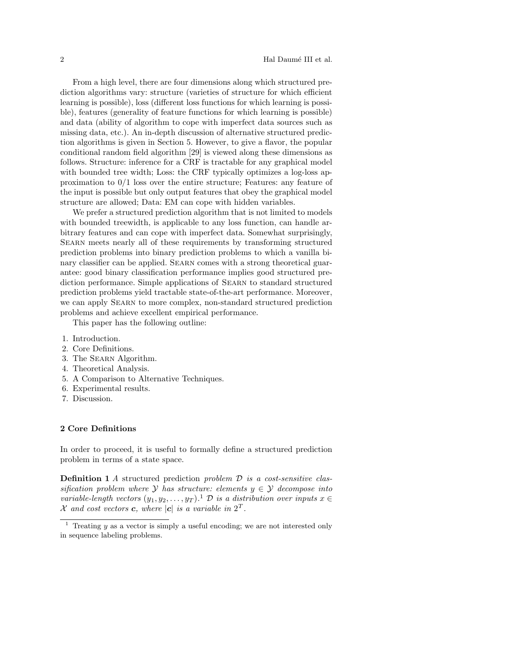From a high level, there are four dimensions along which structured prediction algorithms vary: structure (varieties of structure for which efficient learning is possible), loss (different loss functions for which learning is possible), features (generality of feature functions for which learning is possible) and data (ability of algorithm to cope with imperfect data sources such as missing data, etc.). An in-depth discussion of alternative structured prediction algorithms is given in Section 5. However, to give a flavor, the popular conditional random field algorithm [29] is viewed along these dimensions as follows. Structure: inference for a CRF is tractable for any graphical model with bounded tree width; Loss: the CRF typically optimizes a log-loss approximation to  $0/1$  loss over the entire structure; Features: any feature of the input is possible but only output features that obey the graphical model structure are allowed; Data: EM can cope with hidden variables.

We prefer a structured prediction algorithm that is not limited to models with bounded treewidth, is applicable to any loss function, can handle arbitrary features and can cope with imperfect data. Somewhat surprisingly, Searn meets nearly all of these requirements by transforming structured prediction problems into binary prediction problems to which a vanilla binary classifier can be applied. SEARN comes with a strong theoretical guarantee: good binary classification performance implies good structured prediction performance. Simple applications of Searn to standard structured prediction problems yield tractable state-of-the-art performance. Moreover, we can apply SEARN to more complex, non-standard structured prediction problems and achieve excellent empirical performance.

This paper has the following outline:

- 1. Introduction.
- 2. Core Definitions.
- 3. The Searn Algorithm.
- 4. Theoretical Analysis.
- 5. A Comparison to Alternative Techniques.
- 6. Experimental results.
- 7. Discussion.

# 2 Core Definitions

In order to proceed, it is useful to formally define a structured prediction problem in terms of a state space.

**Definition 1** A structured prediction problem  $\mathcal{D}$  is a cost-sensitive classification problem where  $\mathcal Y$  has structure: elements  $y \in \mathcal Y$  decompose into variable-length vectors  $(y_1, y_2, \ldots, y_T)$ .<sup>1</sup>  $\mathcal D$  is a distribution over inputs  $x \in$ X and cost vectors c, where  $|c|$  is a variable in  $2^T$ .

Treating  $y$  as a vector is simply a useful encoding; we are not interested only in sequence labeling problems.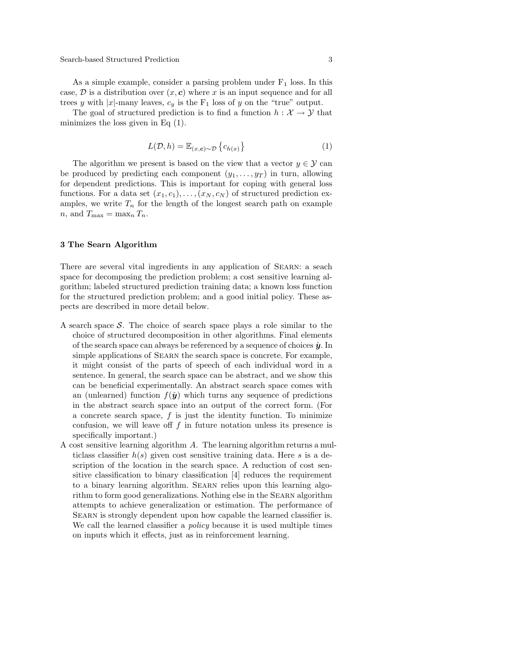Search-based Structured Prediction 3

As a simple example, consider a parsing problem under  $F_1$  loss. In this case,  $D$  is a distribution over  $(x, c)$  where x is an input sequence and for all trees y with |x|-many leaves,  $c_y$  is the  $F_1$  loss of y on the "true" output.

The goal of structured prediction is to find a function  $h: \mathcal{X} \to \mathcal{Y}$  that minimizes the loss given in Eq  $(1)$ .

$$
L(\mathcal{D}, h) = \mathbb{E}_{(x, c) \sim \mathcal{D}} \left\{ c_{h(x)} \right\} \tag{1}
$$

The algorithm we present is based on the view that a vector  $y \in \mathcal{Y}$  can be produced by predicting each component  $(y_1, \ldots, y_T)$  in turn, allowing for dependent predictions. This is important for coping with general loss functions. For a data set  $(x_1, c_1), \ldots, (x_N, c_N)$  of structured prediction examples, we write  $T_n$  for the length of the longest search path on example  $n,$  and  $T_{\text{max}} = \max_n T_n$ .

# 3 The Searn Algorithm

There are several vital ingredients in any application of Searn: a seach space for decomposing the prediction problem; a cost sensitive learning algorithm; labeled structured prediction training data; a known loss function for the structured prediction problem; and a good initial policy. These aspects are described in more detail below.

- A search space  $S$ . The choice of search space plays a role similar to the choice of structured decomposition in other algorithms. Final elements of the search space can always be referenced by a sequence of choices  $\hat{y}$ . In simple applications of SEARN the search space is concrete. For example, it might consist of the parts of speech of each individual word in a sentence. In general, the search space can be abstract, and we show this can be beneficial experimentally. An abstract search space comes with an (unlearned) function  $f(\hat{y})$  which turns any sequence of predictions in the abstract search space into an output of the correct form. (For a concrete search space,  $f$  is just the identity function. To minimize confusion, we will leave off  $f$  in future notation unless its presence is specifically important.)
- A cost sensitive learning algorithm A. The learning algorithm returns a multiclass classifier  $h(s)$  given cost sensitive training data. Here s is a description of the location in the search space. A reduction of cost sensitive classification to binary classification [4] reduces the requirement to a binary learning algorithm. SEARN relies upon this learning algorithm to form good generalizations. Nothing else in the Searn algorithm attempts to achieve generalization or estimation. The performance of Searn is strongly dependent upon how capable the learned classifier is. We call the learned classifier a *policy* because it is used multiple times on inputs which it effects, just as in reinforcement learning.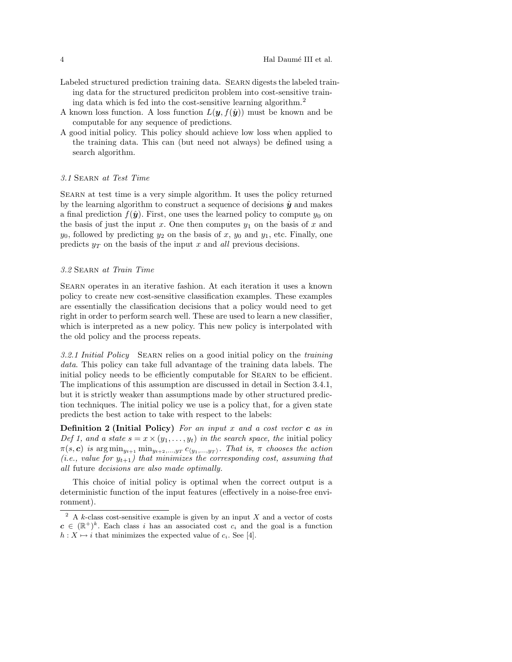- Labeled structured prediction training data. Searn digests the labeled training data for the structured prediciton problem into cost-sensitive training data which is fed into the cost-sensitive learning algorithm.<sup>2</sup>
- A known loss function. A loss function  $L(\mathbf{y}, f(\hat{\mathbf{y}}))$  must be known and be computable for any sequence of predictions.
- A good initial policy. This policy should achieve low loss when applied to the training data. This can (but need not always) be defined using a search algorithm.

#### 3.1 Searn at Test Time

Searn at test time is a very simple algorithm. It uses the policy returned by the learning algorithm to construct a sequence of decisions  $\hat{y}$  and makes a final prediction  $f(\hat{y})$ . First, one uses the learned policy to compute  $y_0$  on the basis of just the input x. One then computes  $y_1$  on the basis of x and  $y_0$ , followed by predicting  $y_2$  on the basis of x,  $y_0$  and  $y_1$ , etc. Finally, one predicts  $y_T$  on the basis of the input x and all previous decisions.

## 3.2 Searn at Train Time

Searn operates in an iterative fashion. At each iteration it uses a known policy to create new cost-sensitive classification examples. These examples are essentially the classification decisions that a policy would need to get right in order to perform search well. These are used to learn a new classifier, which is interpreted as a new policy. This new policy is interpolated with the old policy and the process repeats.

3.2.1 Initial Policy SEARN relies on a good initial policy on the training data. This policy can take full advantage of the training data labels. The initial policy needs to be efficiently computable for Searn to be efficient. The implications of this assumption are discussed in detail in Section 3.4.1, but it is strictly weaker than assumptions made by other structured prediction techniques. The initial policy we use is a policy that, for a given state predicts the best action to take with respect to the labels:

**Definition 2 (Initial Policy)** For an input x and a cost vector  $\boldsymbol{c}$  as in Def 1, and a state  $s = x \times (y_1, \ldots, y_t)$  in the search space, the initial policy  $\pi(s, c)$  is  $\arg \min_{y_{t+1}} \min_{y_{t+2},...,y_T} c_{\langle y_1,...,y_T \rangle}$ . That is,  $\pi$  chooses the action (i.e., value for  $y_{t+1}$ ) that minimizes the corresponding cost, assuming that all future decisions are also made optimally.

This choice of initial policy is optimal when the correct output is a deterministic function of the input features (effectively in a noise-free environment).

<sup>&</sup>lt;sup>2</sup> A k-class cost-sensitive example is given by an input X and a vector of costs  $c \in (\mathbb{R}^+)^k$ . Each class i has an associated cost  $c_i$  and the goal is a function  $h: X \mapsto i$  that minimizes the expected value of  $c_i$ . See [4].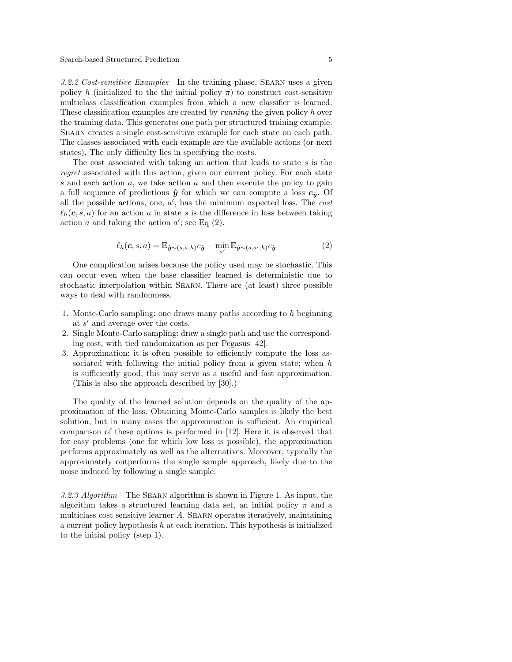3.2.2 Cost-sensitive Examples In the training phase, Searn uses a given policy h (initialized to the the initial policy  $\pi$ ) to construct cost-sensitive multiclass classification examples from which a new classifier is learned. These classification examples are created by *running* the given policy h over the training data. This generates one path per structured training example. Searn creates a single cost-sensitive example for each state on each path. The classes associated with each example are the available actions (or next states). The only difficulty lies in specifying the costs.

The cost associated with taking an action that leads to state s is the regret associated with this action, given our current policy. For each state s and each action  $a$ , we take action  $a$  and then execute the policy to gain a full sequence of predictions  $\hat{y}$  for which we can compute a loss  $c_{\hat{y}}$ . Of all the possible actions, one,  $a'$ , has the minimum expected loss. The *cost*  $\ell_h(c, s, a)$  for an action a in state s is the difference in loss between taking action  $a$  and taking the action  $a'$ ; see Eq (2).

$$
\ell_h(\mathbf{c}, s, a) = \mathbb{E}_{\hat{\mathbf{y}} \sim (s, a, h)} c_{\hat{\mathbf{y}}} - \min_{a'} \mathbb{E}_{\hat{\mathbf{y}} \sim (s, a', h)} c_{\hat{\mathbf{y}}}
$$
(2)

One complication arises because the policy used may be stochastic. This can occur even when the base classifier learned is deterministic due to stochastic interpolation within Searn. There are (at least) three possible ways to deal with randomness.

- 1. Monte-Carlo sampling: one draws many paths according to h beginning at  $s'$  and average over the costs.
- 2. Single Monte-Carlo sampling: draw a single path and use the corresponding cost, with tied randomization as per Pegasus [42].
- 3. Approximation: it is often possible to efficiently compute the loss associated with following the initial policy from a given state; when  $h$ is sufficiently good, this may serve as a useful and fast approximation. (This is also the approach described by [30].)

The quality of the learned solution depends on the quality of the approximation of the loss. Obtaining Monte-Carlo samples is likely the best solution, but in many cases the approximation is sufficient. An empirical comparison of these options is performed in [12]. Here it is observed that for easy problems (one for which low loss is possible), the approximation performs approximately as well as the alternatives. Moreover, typically the approximately outperforms the single sample approach, likely due to the noise induced by following a single sample.

3.2.3 Algorithm The Searn algorithm is shown in Figure 1. As input, the algorithm takes a structured learning data set, an initial policy  $\pi$  and a multiclass cost sensitive learner A. Searn operates iteratively, maintaining a current policy hypothesis h at each iteration. This hypothesis is initialized to the initial policy (step 1).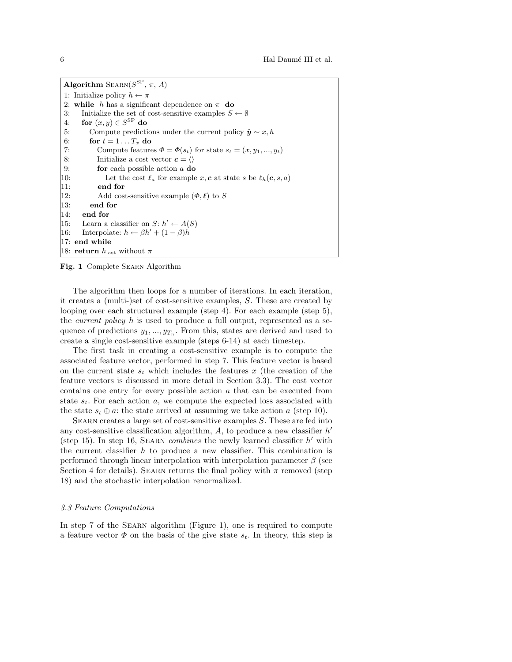Algorithm  $\text{SEARCH}(S^{\text{SP}}, \pi, A)$ 1: Initialize policy  $h \leftarrow \pi$ 2: while h has a significant dependence on  $\pi$  do 3: Initialize the set of cost-sensitive examples  $S \leftarrow \emptyset$ 4: for  $(x, y) \in S^{\text{SP}}$  do 5: Compute predictions under the current policy  $\hat{y} \sim x, h$ 6: for  $t = 1 \dots T_x$  do 7: Compute features  $\Phi = \Phi(s_t)$  for state  $s_t = (x, y_1, ..., y_t)$ 8: Initialize a cost vector  $c = \langle \rangle$ 9: **for** each possible action  $a$  **do** 10: Let the cost  $\ell_a$  for example x, c at state s be  $\ell_h(c, s, a)$ 11: end for 12: Add cost-sensitive example  $(\Phi, \ell)$  to S 13: end for 14: end for 15: Learn a classifier on  $S: h' \leftarrow A(S)$ 16: Interpolate:  $h \leftarrow \beta h' + (1 - \beta)h$ 17: end while 18: return  $h_{\text{last}}$  without  $\pi$ 

Fig. 1 Complete SEARN Algorithm

The algorithm then loops for a number of iterations. In each iteration, it creates a (multi-)set of cost-sensitive examples, S. These are created by looping over each structured example (step 4). For each example (step 5), the *current policy*  $h$  is used to produce a full output, represented as a sequence of predictions  $y_1, ..., y_{T_n}$ . From this, states are derived and used to create a single cost-sensitive example (steps 6-14) at each timestep.

The first task in creating a cost-sensitive example is to compute the associated feature vector, performed in step 7. This feature vector is based on the current state  $s_t$  which includes the features x (the creation of the feature vectors is discussed in more detail in Section 3.3). The cost vector contains one entry for every possible action a that can be executed from state  $s_t$ . For each action a, we compute the expected loss associated with the state  $s_t \oplus a$ : the state arrived at assuming we take action a (step 10).

Searn creates a large set of cost-sensitive examples S. These are fed into any cost-sensitive classification algorithm,  $A$ , to produce a new classifier  $h'$ (step 15). In step 16, SEARN *combines* the newly learned classifier  $h'$  with the current classifier  $h$  to produce a new classifier. This combination is performed through linear interpolation with interpolation parameter  $\beta$  (see Section 4 for details). SEARN returns the final policy with  $\pi$  removed (step 18) and the stochastic interpolation renormalized.

#### 3.3 Feature Computations

In step 7 of the SEARN algorithm (Figure 1), one is required to compute a feature vector  $\Phi$  on the basis of the give state  $s_t$ . In theory, this step is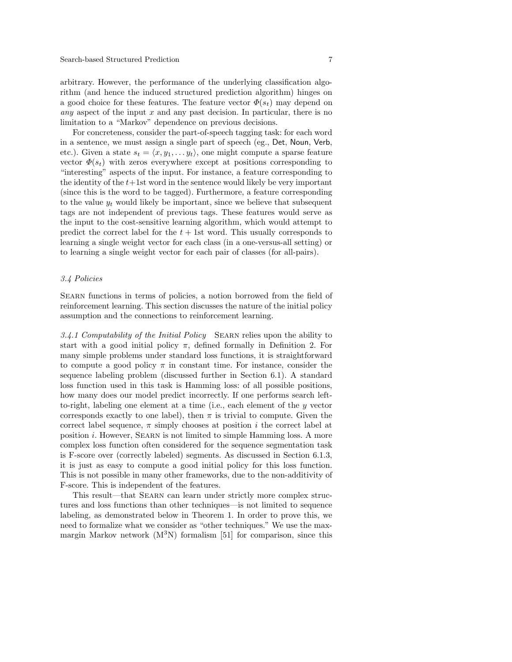arbitrary. However, the performance of the underlying classification algorithm (and hence the induced structured prediction algorithm) hinges on a good choice for these features. The feature vector  $\Phi(s_t)$  may depend on any aspect of the input x and any past decision. In particular, there is no limitation to a "Markov" dependence on previous decisions.

For concreteness, consider the part-of-speech tagging task: for each word in a sentence, we must assign a single part of speech (eg., Det, Noun, Verb, etc.). Given a state  $s_t = \langle x, y_1, \ldots, y_t \rangle$ , one might compute a sparse feature vector  $\Phi(s_t)$  with zeros everywhere except at positions corresponding to "interesting" aspects of the input. For instance, a feature corresponding to the identity of the  $t+1$ st word in the sentence would likely be very important (since this is the word to be tagged). Furthermore, a feature corresponding to the value  $y_t$  would likely be important, since we believe that subsequent tags are not independent of previous tags. These features would serve as the input to the cost-sensitive learning algorithm, which would attempt to predict the correct label for the  $t + 1$ st word. This usually corresponds to learning a single weight vector for each class (in a one-versus-all setting) or to learning a single weight vector for each pair of classes (for all-pairs).

# 3.4 Policies

Searn functions in terms of policies, a notion borrowed from the field of reinforcement learning. This section discusses the nature of the initial policy assumption and the connections to reinforcement learning.

3.4.1 Computability of the Initial Policy SEARN relies upon the ability to start with a good initial policy  $\pi$ , defined formally in Definition 2. For many simple problems under standard loss functions, it is straightforward to compute a good policy  $\pi$  in constant time. For instance, consider the sequence labeling problem (discussed further in Section 6.1). A standard loss function used in this task is Hamming loss: of all possible positions, how many does our model predict incorrectly. If one performs search leftto-right, labeling one element at a time (i.e., each element of the  $y$  vector corresponds exactly to one label), then  $\pi$  is trivial to compute. Given the correct label sequence,  $\pi$  simply chooses at position i the correct label at position  $i$ . However, SEARN is not limited to simple Hamming loss. A more complex loss function often considered for the sequence segmentation task is F-score over (correctly labeled) segments. As discussed in Section 6.1.3, it is just as easy to compute a good initial policy for this loss function. This is not possible in many other frameworks, due to the non-additivity of F-score. This is independent of the features.

This result—that Searn can learn under strictly more complex structures and loss functions than other techniques—is not limited to sequence labeling, as demonstrated below in Theorem 1. In order to prove this, we need to formalize what we consider as "other techniques." We use the maxmargin Markov network  $(M^3N)$  formalism [51] for comparison, since this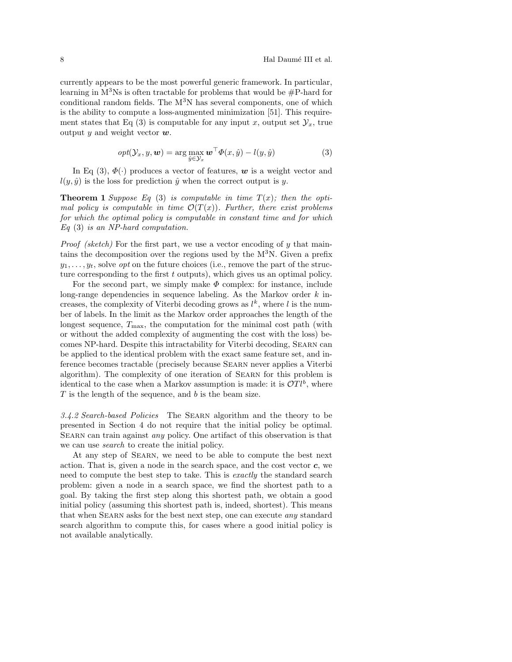currently appears to be the most powerful generic framework. In particular, learning in  $\mathbb{M}^3$ Ns is often tractable for problems that would be #P-hard for conditional random fields. The  $M<sup>3</sup>N$  has several components, one of which is the ability to compute a loss-augmented minimization [51]. This requirement states that Eq (3) is computable for any input x, output set  $\mathcal{Y}_x$ , true output y and weight vector  $w$ .

$$
opt(\mathcal{Y}_x, y, \mathbf{w}) = \arg \max_{\hat{y} \in \mathcal{Y}_x} \mathbf{w}^\top \Phi(x, \hat{y}) - l(y, \hat{y})
$$
(3)

In Eq (3),  $\Phi(\cdot)$  produces a vector of features, w is a weight vector and  $l(y, \hat{y})$  is the loss for prediction  $\hat{y}$  when the correct output is y.

**Theorem 1** Suppose Eq (3) is computable in time  $T(x)$ ; then the optimal policy is computable in time  $\mathcal{O}(T(x))$ . Further, there exist problems for which the optimal policy is computable in constant time and for which Eq (3) is an NP-hard computation.

*Proof (sketch)* For the first part, we use a vector encoding of  $y$  that maintains the decomposition over the regions used by the  $M<sup>3</sup>N$ . Given a prefix  $y_1, \ldots, y_t$ , solve *opt* on the future choices (i.e., remove the part of the structure corresponding to the first  $t$  outputs), which gives us an optimal policy.

For the second part, we simply make  $\Phi$  complex: for instance, include long-range dependencies in sequence labeling. As the Markov order  $k$  increases, the complexity of Viterbi decoding grows as  $l^k$ , where l is the number of labels. In the limit as the Markov order approaches the length of the longest sequence,  $T_{\text{max}}$ , the computation for the minimal cost path (with or without the added complexity of augmenting the cost with the loss) becomes NP-hard. Despite this intractability for Viterbi decoding, Searn can be applied to the identical problem with the exact same feature set, and inference becomes tractable (precisely because Searn never applies a Viterbi algorithm). The complexity of one iteration of Searn for this problem is identical to the case when a Markov assumption is made: it is  $\mathcal{O}Tl^b$ , where  $T$  is the length of the sequence, and  $b$  is the beam size.

3.4.2 Search-based Policies The SEARN algorithm and the theory to be presented in Section 4 do not require that the initial policy be optimal. SEARN can train against *any* policy. One artifact of this observation is that we can use search to create the initial policy.

At any step of Searn, we need to be able to compute the best next action. That is, given a node in the search space, and the cost vector  $c$ , we need to compute the best step to take. This is exactly the standard search problem: given a node in a search space, we find the shortest path to a goal. By taking the first step along this shortest path, we obtain a good initial policy (assuming this shortest path is, indeed, shortest). This means that when SEARN asks for the best next step, one can execute any standard search algorithm to compute this, for cases where a good initial policy is not available analytically.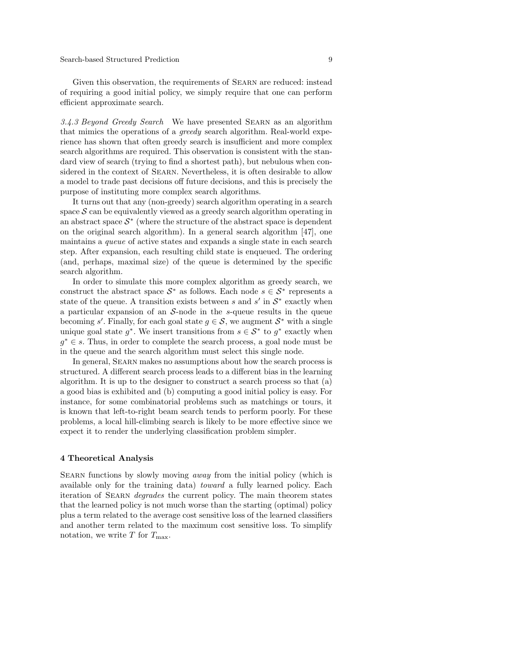Given this observation, the requirements of Searn are reduced: instead of requiring a good initial policy, we simply require that one can perform efficient approximate search.

3.4.3 Beyond Greedy Search We have presented Searn as an algorithm that mimics the operations of a greedy search algorithm. Real-world experience has shown that often greedy search is insufficient and more complex search algorithms are required. This observation is consistent with the standard view of search (trying to find a shortest path), but nebulous when considered in the context of Searn. Nevertheless, it is often desirable to allow a model to trade past decisions off future decisions, and this is precisely the purpose of instituting more complex search algorithms.

It turns out that any (non-greedy) search algorithm operating in a search space  $S$  can be equivalently viewed as a greedy search algorithm operating in an abstract space  $S^*$  (where the structure of the abstract space is dependent on the original search algorithm). In a general search algorithm [47], one maintains a queue of active states and expands a single state in each search step. After expansion, each resulting child state is enqueued. The ordering (and, perhaps, maximal size) of the queue is determined by the specific search algorithm.

In order to simulate this more complex algorithm as greedy search, we construct the abstract space  $S^*$  as follows. Each node  $s \in S^*$  represents a state of the queue. A transition exists between s and s' in  $S^*$  exactly when a particular expansion of an  $S$ -node in the s-queue results in the queue becoming s'. Finally, for each goal state  $g \in \mathcal{S}$ , we augment  $\mathcal{S}^*$  with a single unique goal state  $g^*$ . We insert transitions from  $s \in S^*$  to  $g^*$  exactly when  $g^* \in s$ . Thus, in order to complete the search process, a goal node must be in the queue and the search algorithm must select this single node.

In general, SEARN makes no assumptions about how the search process is structured. A different search process leads to a different bias in the learning algorithm. It is up to the designer to construct a search process so that (a) a good bias is exhibited and (b) computing a good initial policy is easy. For instance, for some combinatorial problems such as matchings or tours, it is known that left-to-right beam search tends to perform poorly. For these problems, a local hill-climbing search is likely to be more effective since we expect it to render the underlying classification problem simpler.

#### 4 Theoretical Analysis

SEARN functions by slowly moving *away* from the initial policy (which is available only for the training data) toward a fully learned policy. Each iteration of SEARN *degrades* the current policy. The main theorem states that the learned policy is not much worse than the starting (optimal) policy plus a term related to the average cost sensitive loss of the learned classifiers and another term related to the maximum cost sensitive loss. To simplify notation, we write  $T$  for  $T_{\text{max}}$ .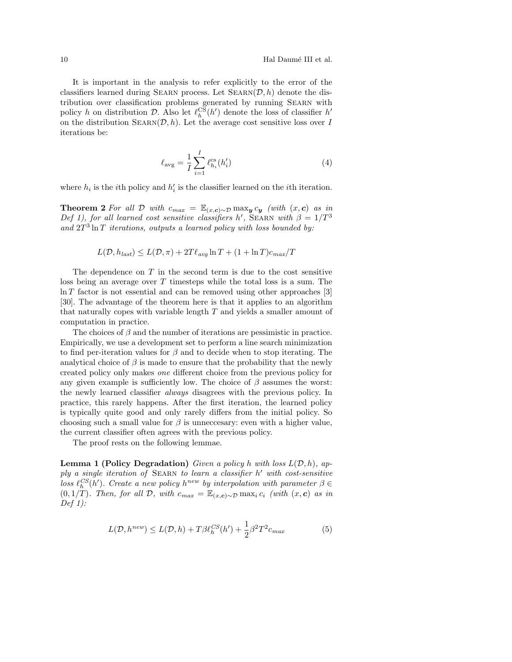It is important in the analysis to refer explicitly to the error of the classifiers learned during SEARN process. Let  $\text{SEARCH}(\mathcal{D}, h)$  denote the distribution over classification problems generated by running Searn with policy h on distribution  $\mathcal{D}$ . Also let  $\ell_h^{\mathcal{CS}}(h')$  denote the loss of classifier  $h'$ on the distribution  $\text{SEARCH}(\mathcal{D}, h)$ . Let the average cost sensitive loss over I iterations be:

$$
\ell_{\text{avg}} = \frac{1}{I} \sum_{i=1}^{I} \ell_{h_i}^{\text{cs}}(h_i') \tag{4}
$$

where  $h_i$  is the *i*<sup>th</sup> policy and  $h'_i$  is the classifier learned on the *i*<sup>th</sup> iteration.

**Theorem 2** For all D with  $c_{max} = \mathbb{E}_{(x,c)\sim\mathcal{D}} \max_{y} c_{y}$  (with  $(x, c)$  as in Def 1), for all learned cost sensitive classifiers h', SEARN with  $\beta = 1/T^3$ and  $2T^3 \ln T$  iterations, outputs a learned policy with loss bounded by:

$$
L(\mathcal{D}, h_{last}) \le L(\mathcal{D}, \pi) + 2T\ell_{avg} \ln T + (1 + \ln T)c_{max}/T
$$

The dependence on  $T$  in the second term is due to the cost sensitive loss being an average over T timesteps while the total loss is a sum. The  $\ln T$  factor is not essential and can be removed using other approaches [3] [30]. The advantage of the theorem here is that it applies to an algorithm that naturally copes with variable length  $T$  and yields a smaller amount of computation in practice.

The choices of  $\beta$  and the number of iterations are pessimistic in practice. Empirically, we use a development set to perform a line search minimization to find per-iteration values for  $\beta$  and to decide when to stop iterating. The analytical choice of  $\beta$  is made to ensure that the probability that the newly created policy only makes one different choice from the previous policy for any given example is sufficiently low. The choice of  $\beta$  assumes the worst: the newly learned classifier always disagrees with the previous policy. In practice, this rarely happens. After the first iteration, the learned policy is typically quite good and only rarely differs from the initial policy. So choosing such a small value for  $\beta$  is unneccesary: even with a higher value, the current classifier often agrees with the previous policy.

The proof rests on the following lemmae.

**Lemma 1 (Policy Degradation)** Given a policy h with loss  $L(\mathcal{D}, h)$ , ap $ply a single iteration of **SEARCH** to learn a classifier  $h'$  with cost-sensitive$ loss  $\ell_h^{CS}(h')$ . Create a new policy  $h^{new}$  by interpolation with parameter  $\beta \in$  $(0, 1/T)$ . Then, for all D, with  $c_{max} = \mathbb{E}_{(x, c) \sim \mathcal{D}} \max_i c_i$  (with  $(x, c)$  as in Def  $1$ :

$$
L(\mathcal{D}, h^{new}) \le L(\mathcal{D}, h) + T\beta \ell_h^{CS}(h') + \frac{1}{2}\beta^2 T^2 c_{max}
$$
\n(5)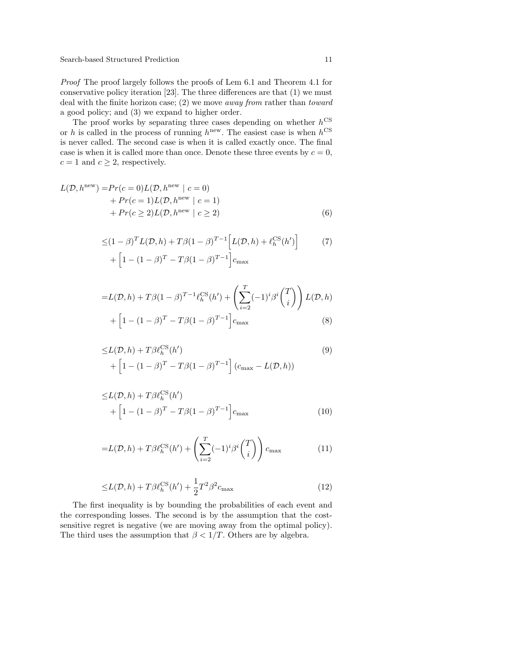Proof The proof largely follows the proofs of Lem 6.1 and Theorem 4.1 for conservative policy iteration [23]. The three differences are that (1) we must deal with the finite horizon case; (2) we move away from rather than toward a good policy; and (3) we expand to higher order.

The proof works by separating three cases depending on whether  $h^{\text{CS}}$ or h is called in the process of running  $h^{\text{new}}$ . The easiest case is when  $h^{\text{CS}}$ is never called. The second case is when it is called exactly once. The final case is when it is called more than once. Denote these three events by  $c = 0$ ,  $c = 1$  and  $c \geq 2$ , respectively.

$$
L(\mathcal{D}, h^{\text{new}}) = Pr(c = 0)L(\mathcal{D}, h^{\text{new}} \mid c = 0)
$$
  
+ 
$$
Pr(c = 1)L(\mathcal{D}, h^{\text{new}} \mid c = 1)
$$
  
+ 
$$
Pr(c \ge 2)L(\mathcal{D}, h^{\text{new}} \mid c \ge 2)
$$
 (6)

$$
\leq (1 - \beta)^{T} L(\mathcal{D}, h) + T\beta (1 - \beta)^{T-1} \left[ L(\mathcal{D}, h) + \ell_{h}^{\text{CS}}(h') \right]
$$
(7)  
+ 
$$
\left[ 1 - (1 - \beta)^{T} - T\beta (1 - \beta)^{T-1} \right] c_{\text{max}}
$$

$$
=L(\mathcal{D},h) + T\beta(1-\beta)^{T-1}\ell_h^{\text{CS}}(h') + \left(\sum_{i=2}^T(-1)^i\beta^i\binom{T}{i}\right)L(\mathcal{D},h) + \left[1-(1-\beta)^T - T\beta(1-\beta)^{T-1}\right]c_{\text{max}}\tag{8}
$$

$$
\leq L(\mathcal{D}, h) + T\beta \ell_h^{\text{CS}}(h')
$$
  
+ 
$$
\left[1 - (1 - \beta)^T - T\beta (1 - \beta)^{T-1}\right] (c_{\text{max}} - L(\mathcal{D}, h))
$$
 (9)

$$
\leq L(\mathcal{D}, h) + T\beta \ell_h^{\text{CS}}(h')
$$
  
+ 
$$
\left[1 - (1 - \beta)^T - T\beta (1 - \beta)^{T-1}\right] c_{\text{max}}
$$
(10)

$$
=L(\mathcal{D},h) + T\beta \ell_h^{\text{CS}}(h') + \left(\sum_{i=2}^T (-1)^i \beta^i \binom{T}{i}\right) c_{\text{max}} \tag{11}
$$

$$
\leq L(\mathcal{D}, h) + T\beta \ell_h^{\text{CS}}(h') + \frac{1}{2}T^2\beta^2 c_{\text{max}} \tag{12}
$$

The first inequality is by bounding the probabilities of each event and the corresponding losses. The second is by the assumption that the costsensitive regret is negative (we are moving away from the optimal policy). The third uses the assumption that  $\beta < 1/T$ . Others are by algebra.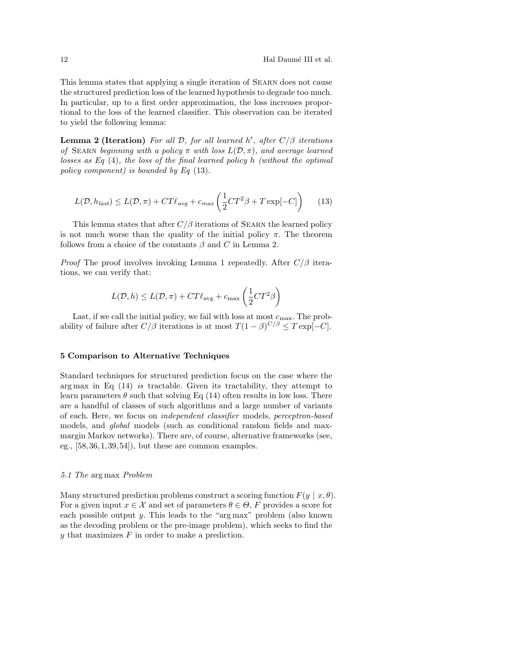This lemma states that applying a single iteration of Searn does not cause the structured prediction loss of the learned hypothesis to degrade too much. In particular, up to a first order approximation, the loss increases proportional to the loss of the learned classifier. This observation can be iterated to yield the following lemma:

**Lemma 2 (Iteration)** For all  $D$ , for all learned h', after  $C/\beta$  iterations of SEARN beginning with a policy  $\pi$  with loss  $L(\mathcal{D}, \pi)$ , and average learned losses as Eq  $(4)$ , the loss of the final learned policy h (without the optimal policy component) is bounded by Eq (13).

$$
L(\mathcal{D}, h_{last}) \le L(\mathcal{D}, \pi) + CT\ell_{avg} + c_{max} \left(\frac{1}{2}CT^2\beta + T\exp[-C]\right) \tag{13}
$$

This lemma states that after  $C/\beta$  iterations of SEARN the learned policy is not much worse than the quality of the initial policy  $\pi$ . The theorem follows from a choice of the constants  $\beta$  and C in Lemma 2.

*Proof* The proof involves invoking Lemma 1 repeatedly. After  $C/\beta$  iterations, we can verify that:

$$
L(\mathcal{D}, h) \le L(\mathcal{D}, \pi) + CT\ell_{\text{avg}} + c_{\text{max}}\left(\frac{1}{2}CT^2\beta\right)
$$

Last, if we call the initial policy, we fail with loss at most  $c_{\text{max}}$ . The probability of failure after  $C/\beta$  iterations is at most  $T(1-\beta)^{C/\beta} \leq T \exp[-C]$ .

#### 5 Comparison to Alternative Techniques

Standard techniques for structured prediction focus on the case where the arg max in Eq  $(14)$  is tractable. Given its tractability, they attempt to learn parameters  $\theta$  such that solving Eq (14) often results in low loss. There are a handful of classes of such algorithms and a large number of variants of each. Here, we focus on independent classifier models, perceptron-based models, and global models (such as conditional random fields and maxmargin Markov networks). There are, of course, alternative frameworks (see, eg.,  $[58,36,1,39,54]$ , but these are common examples.

## 5.1 The arg max Problem

Many structured prediction problems construct a scoring function  $F(y | x, \theta)$ . For a given input  $x \in \mathcal{X}$  and set of parameters  $\theta \in \Theta$ , F provides a score for each possible output y. This leads to the "arg max" problem (also known as the decoding problem or the pre-image problem), which seeks to find the  $y$  that maximizes  $F$  in order to make a prediction.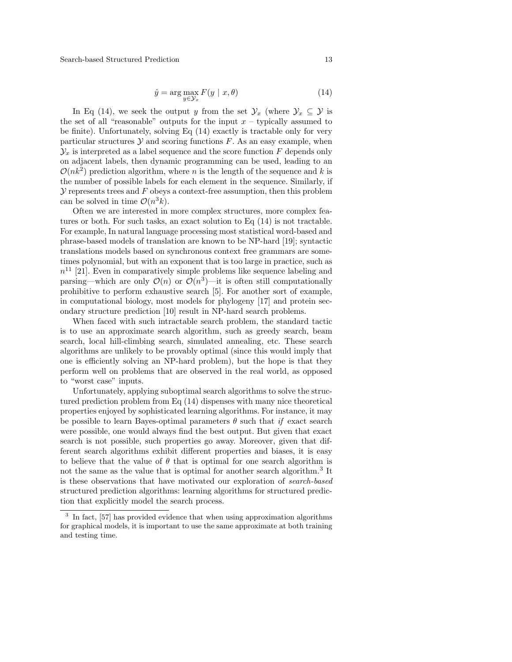Search-based Structured Prediction 13

$$
\hat{y} = \arg\max_{y \in \mathcal{Y}_x} F(y \mid x, \theta) \tag{14}
$$

In Eq (14), we seek the output y from the set  $\mathcal{Y}_x$  (where  $\mathcal{Y}_x \subseteq \mathcal{Y}$  is the set of all "reasonable" outputs for the input  $x$  – typically assumed to be finite). Unfortunately, solving Eq (14) exactly is tractable only for very particular structures  $Y$  and scoring functions  $F$ . As an easy example, when  $\mathcal{Y}_x$  is interpreted as a label sequence and the score function F depends only on adjacent labels, then dynamic programming can be used, leading to an  $\mathcal{O}(nk^2)$  prediction algorithm, where n is the length of the sequence and k is the number of possible labels for each element in the sequence. Similarly, if  $\mathcal Y$  represents trees and  $F$  obeys a context-free assumption, then this problem can be solved in time  $\mathcal{O}(n^3k)$ .

Often we are interested in more complex structures, more complex features or both. For such tasks, an exact solution to Eq (14) is not tractable. For example, In natural language processing most statistical word-based and phrase-based models of translation are known to be NP-hard [19]; syntactic translations models based on synchronous context free grammars are sometimes polynomial, but with an exponent that is too large in practice, such as  $n<sup>11</sup>$  [21]. Even in comparatively simple problems like sequence labeling and parsing—which are only  $\mathcal{O}(n)$  or  $\mathcal{O}(n^3)$ —it is often still computationally prohibitive to perform exhaustive search [5]. For another sort of example, in computational biology, most models for phylogeny [17] and protein secondary structure prediction [10] result in NP-hard search problems.

When faced with such intractable search problem, the standard tactic is to use an approximate search algorithm, such as greedy search, beam search, local hill-climbing search, simulated annealing, etc. These search algorithms are unlikely to be provably optimal (since this would imply that one is efficiently solving an NP-hard problem), but the hope is that they perform well on problems that are observed in the real world, as opposed to "worst case" inputs.

Unfortunately, applying suboptimal search algorithms to solve the structured prediction problem from Eq (14) dispenses with many nice theoretical properties enjoyed by sophisticated learning algorithms. For instance, it may be possible to learn Bayes-optimal parameters  $\theta$  such that if exact search were possible, one would always find the best output. But given that exact search is not possible, such properties go away. Moreover, given that different search algorithms exhibit different properties and biases, it is easy to believe that the value of  $\theta$  that is optimal for one search algorithm is not the same as the value that is optimal for another search algorithm.<sup>3</sup> It is these observations that have motivated our exploration of search-based structured prediction algorithms: learning algorithms for structured prediction that explicitly model the search process.

<sup>3</sup> In fact, [57] has provided evidence that when using approximation algorithms for graphical models, it is important to use the same approximate at both training and testing time.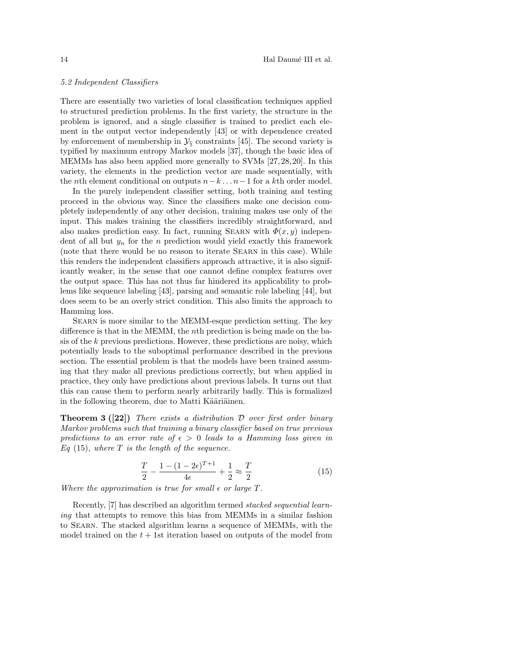#### 5.2 Independent Classifiers

There are essentially two varieties of local classification techniques applied to structured prediction problems. In the first variety, the structure in the problem is ignored, and a single classifier is trained to predict each element in the output vector independently [43] or with dependence created by enforcement of membership in  $\mathcal{Y}_{\S}$  constraints [45]. The second variety is typified by maximum entropy Markov models [37], though the basic idea of MEMMs has also been applied more generally to SVMs [27,28,20]. In this variety, the elements in the prediction vector are made sequentially, with the *n*th element conditional on outputs  $n-k \dots n-1$  for a kth order model.

In the purely independent classifier setting, both training and testing proceed in the obvious way. Since the classifiers make one decision completely independently of any other decision, training makes use only of the input. This makes training the classifiers incredibly straightforward, and also makes prediction easy. In fact, running SEARN with  $\Phi(x, y)$  independent of all but  $y_n$  for the n prediction would yield exactly this framework (note that there would be no reason to iterate Searn in this case). While this renders the independent classifiers approach attractive, it is also significantly weaker, in the sense that one cannot define complex features over the output space. This has not thus far hindered its applicability to problems like sequence labeling [43], parsing and semantic role labeling [44], but does seem to be an overly strict condition. This also limits the approach to Hamming loss.

Searn is more similar to the MEMM-esque prediction setting. The key difference is that in the MEMM, the nth prediction is being made on the basis of the k previous predictions. However, these predictions are noisy, which potentially leads to the suboptimal performance described in the previous section. The essential problem is that the models have been trained assuming that they make all previous predictions correctly, but when applied in practice, they only have predictions about previous labels. It turns out that this can cause them to perform nearly arbitrarily badly. This is formalized in the following theorem, due to Matti Kääriäinen.

**Theorem 3 ([22])** There exists a distribution  $\mathcal{D}$  over first order binary Markov problems such that training a binary classifier based on true previous predictions to an error rate of  $\epsilon > 0$  leads to a Hamming loss given in  $Eq (15)$ , where T is the length of the sequence.

$$
\frac{T}{2} - \frac{1 - (1 - 2\epsilon)^{T+1}}{4\epsilon} + \frac{1}{2} \approx \frac{T}{2}
$$
 (15)

Where the approximation is true for small  $\epsilon$  or large T.

Recently, [7] has described an algorithm termed stacked sequential learning that attempts to remove this bias from MEMMs in a similar fashion to Searn. The stacked algorithm learns a sequence of MEMMs, with the model trained on the  $t + 1$ st iteration based on outputs of the model from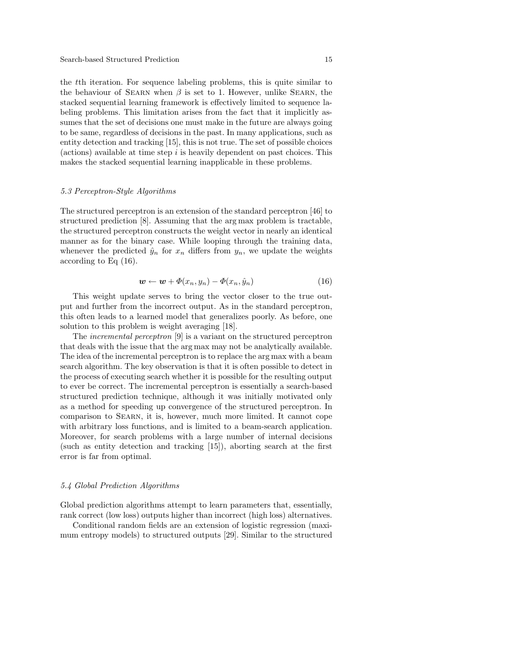#### Search-based Structured Prediction 15

the tth iteration. For sequence labeling problems, this is quite similar to the behaviour of SEARN when  $\beta$  is set to 1. However, unlike SEARN, the stacked sequential learning framework is effectively limited to sequence labeling problems. This limitation arises from the fact that it implicitly assumes that the set of decisions one must make in the future are always going to be same, regardless of decisions in the past. In many applications, such as entity detection and tracking [15], this is not true. The set of possible choices  $(a))$  available at time step i is heavily dependent on past choices. This makes the stacked sequential learning inapplicable in these problems.

### 5.3 Perceptron-Style Algorithms

The structured perceptron is an extension of the standard perceptron [46] to structured prediction [8]. Assuming that the arg max problem is tractable, the structured perceptron constructs the weight vector in nearly an identical manner as for the binary case. While looping through the training data, whenever the predicted  $\hat{y}_n$  for  $x_n$  differs from  $y_n$ , we update the weights according to Eq (16).

$$
\mathbf{w} \leftarrow \mathbf{w} + \Phi(x_n, y_n) - \Phi(x_n, \hat{y}_n) \tag{16}
$$

This weight update serves to bring the vector closer to the true output and further from the incorrect output. As in the standard perceptron, this often leads to a learned model that generalizes poorly. As before, one solution to this problem is weight averaging [18].

The incremental perceptron [9] is a variant on the structured perceptron that deals with the issue that the arg max may not be analytically available. The idea of the incremental perceptron is to replace the arg max with a beam search algorithm. The key observation is that it is often possible to detect in the process of executing search whether it is possible for the resulting output to ever be correct. The incremental perceptron is essentially a search-based structured prediction technique, although it was initially motivated only as a method for speeding up convergence of the structured perceptron. In comparison to Searn, it is, however, much more limited. It cannot cope with arbitrary loss functions, and is limited to a beam-search application. Moreover, for search problems with a large number of internal decisions (such as entity detection and tracking [15]), aborting search at the first error is far from optimal.

#### 5.4 Global Prediction Algorithms

Global prediction algorithms attempt to learn parameters that, essentially, rank correct (low loss) outputs higher than incorrect (high loss) alternatives.

Conditional random fields are an extension of logistic regression (maximum entropy models) to structured outputs [29]. Similar to the structured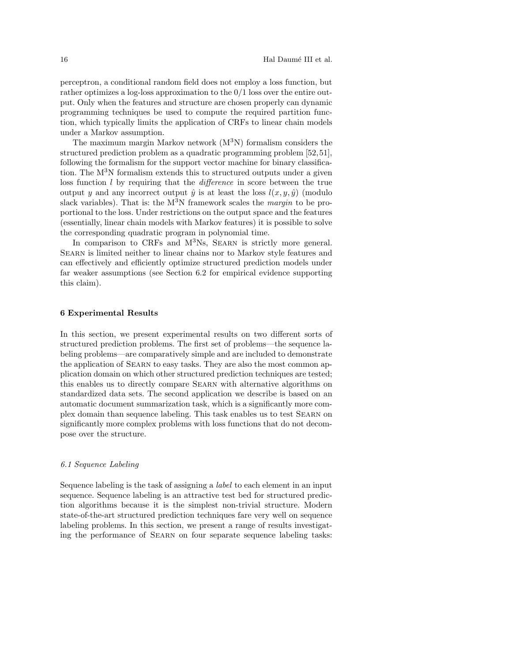perceptron, a conditional random field does not employ a loss function, but rather optimizes a log-loss approximation to the 0/1 loss over the entire output. Only when the features and structure are chosen properly can dynamic programming techniques be used to compute the required partition function, which typically limits the application of CRFs to linear chain models under a Markov assumption.

The maximum margin Markov network  $(M^{3}N)$  formalism considers the structured prediction problem as a quadratic programming problem [52,51], following the formalism for the support vector machine for binary classification. The  $M<sup>3</sup>N$  formalism extends this to structured outputs under a given loss function  $l$  by requiring that the *difference* in score between the true output y and any incorrect output  $\hat{y}$  is at least the loss  $l(x, y, \hat{y})$  (modulo slack variables). That is: the  $M^3N$  framework scales the *margin* to be proportional to the loss. Under restrictions on the output space and the features (essentially, linear chain models with Markov features) it is possible to solve the corresponding quadratic program in polynomial time.

In comparison to CRFs and M<sup>3</sup>Ns, SEARN is strictly more general. Searn is limited neither to linear chains nor to Markov style features and can effectively and efficiently optimize structured prediction models under far weaker assumptions (see Section 6.2 for empirical evidence supporting this claim).

## 6 Experimental Results

In this section, we present experimental results on two different sorts of structured prediction problems. The first set of problems—the sequence labeling problems—are comparatively simple and are included to demonstrate the application of Searn to easy tasks. They are also the most common application domain on which other structured prediction techniques are tested; this enables us to directly compare Searn with alternative algorithms on standardized data sets. The second application we describe is based on an automatic document summarization task, which is a significantly more complex domain than sequence labeling. This task enables us to test Searn on significantly more complex problems with loss functions that do not decompose over the structure.

## 6.1 Sequence Labeling

Sequence labeling is the task of assigning a label to each element in an input sequence. Sequence labeling is an attractive test bed for structured prediction algorithms because it is the simplest non-trivial structure. Modern state-of-the-art structured prediction techniques fare very well on sequence labeling problems. In this section, we present a range of results investigating the performance of Searn on four separate sequence labeling tasks: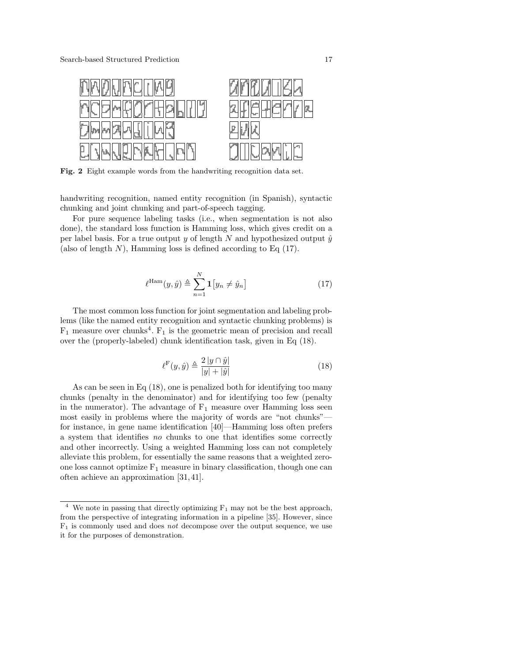

Fig. 2 Eight example words from the handwriting recognition data set.

handwriting recognition, named entity recognition (in Spanish), syntactic chunking and joint chunking and part-of-speech tagging.

For pure sequence labeling tasks (i.e., when segmentation is not also done), the standard loss function is Hamming loss, which gives credit on a per label basis. For a true output y of length N and hypothesized output  $\hat{y}$ (also of length  $N$ ), Hamming loss is defined according to Eq  $(17)$ .

$$
\ell^{\text{Ham}}(y,\hat{y}) \triangleq \sum_{n=1}^{N} \mathbf{1}\big[y_n \neq \hat{y}_n\big] \tag{17}
$$

The most common loss function for joint segmentation and labeling problems (like the named entity recognition and syntactic chunking problems) is  $F_1$  measure over chunks<sup>4</sup>.  $F_1$  is the geometric mean of precision and recall over the (properly-labeled) chunk identification task, given in Eq (18).

$$
\ell^{\mathcal{F}}(y,\hat{y}) \triangleq \frac{2|y \cap \hat{y}|}{|y| + |\hat{y}|}\tag{18}
$$

As can be seen in Eq (18), one is penalized both for identifying too many chunks (penalty in the denominator) and for identifying too few (penalty in the numerator). The advantage of  $F_1$  measure over Hamming loss seen most easily in problems where the majority of words are "not chunks" for instance, in gene name identification [40]—Hamming loss often prefers a system that identifies no chunks to one that identifies some correctly and other incorrectly. Using a weighted Hamming loss can not completely alleviate this problem, for essentially the same reasons that a weighted zeroone loss cannot optimize  $F_1$  measure in binary classification, though one can often achieve an approximation [31,41].

<sup>&</sup>lt;sup>4</sup> We note in passing that directly optimizing  $F_1$  may not be the best approach, from the perspective of integrating information in a pipeline [35]. However, since  $F_1$  is commonly used and does *not* decompose over the output sequence, we use it for the purposes of demonstration.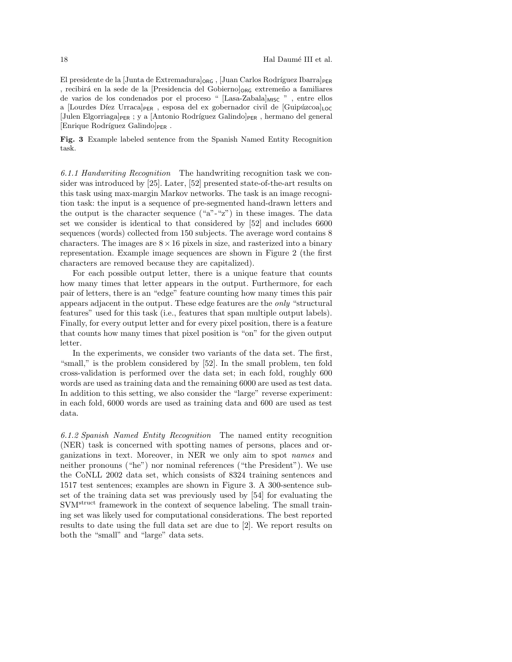El presidente de la  $\text{Junta}$  de Extremadura $\log_6$ ,  $\text{Juan Carlos Rodriguez Ibarral}$ <sub>PER</sub> , recibirá en la sede de la [Presidencia del Gobierno] $_{ORG}$  extremeno a familiares de varios de los condenados por el proceso " [Lasa-Zabala]MISC ", entre ellos a [Lourdes Díez Urraca] $_{PER}$ , esposa del ex gobernador civil de [Guipúzcoa] $_{LOC}$ [Julen Elgorriaga] $_{\text{PER}}$ ; y a [Antonio Rodríguez Galindo]<sub>PER</sub>, hermano del general  $[Enrique Rodriguez Galindo]_{PER}$ .

Fig. 3 Example labeled sentence from the Spanish Named Entity Recognition task.

6.1.1 Handwriting Recognition The handwriting recognition task we consider was introduced by [25]. Later, [52] presented state-of-the-art results on this task using max-margin Markov networks. The task is an image recognition task: the input is a sequence of pre-segmented hand-drawn letters and the output is the character sequence  $("a"-x")$  in these images. The data set we consider is identical to that considered by [52] and includes 6600 sequences (words) collected from 150 subjects. The average word contains 8 characters. The images are  $8 \times 16$  pixels in size, and rasterized into a binary representation. Example image sequences are shown in Figure 2 (the first characters are removed because they are capitalized).

For each possible output letter, there is a unique feature that counts how many times that letter appears in the output. Furthermore, for each pair of letters, there is an "edge" feature counting how many times this pair appears adjacent in the output. These edge features are the only "structural features" used for this task (i.e., features that span multiple output labels). Finally, for every output letter and for every pixel position, there is a feature that counts how many times that pixel position is "on" for the given output letter.

In the experiments, we consider two variants of the data set. The first, "small," is the problem considered by [52]. In the small problem, ten fold cross-validation is performed over the data set; in each fold, roughly 600 words are used as training data and the remaining 6000 are used as test data. In addition to this setting, we also consider the "large" reverse experiment: in each fold, 6000 words are used as training data and 600 are used as test data.

6.1.2 Spanish Named Entity Recognition The named entity recognition (NER) task is concerned with spotting names of persons, places and organizations in text. Moreover, in NER we only aim to spot names and neither pronouns ("he") nor nominal references ("the President"). We use the CoNLL 2002 data set, which consists of 8324 training sentences and 1517 test sentences; examples are shown in Figure 3. A 300-sentence subset of the training data set was previously used by [54] for evaluating the SVM<sup>struct</sup> framework in the context of sequence labeling. The small training set was likely used for computational considerations. The best reported results to date using the full data set are due to [2]. We report results on both the "small" and "large" data sets.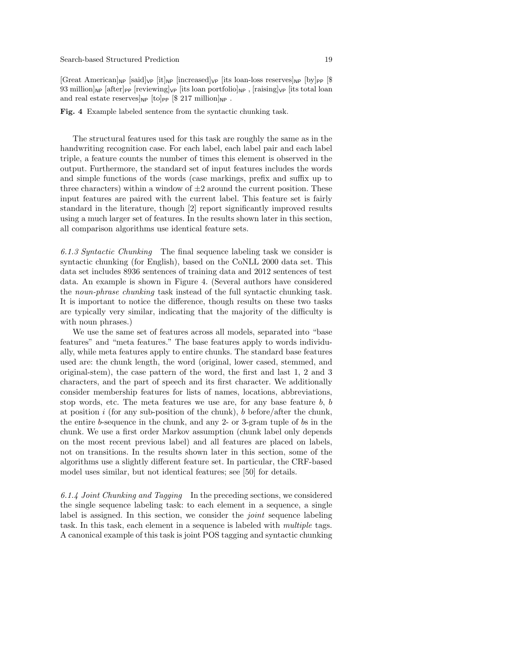#### Search-based Structured Prediction 19

 $[Great American]_{NP}$  [said]<sub>VP</sub>  $[it]_{NP}$  [increased]<sub>VP</sub> [its loan-loss reserves]<sub>NP</sub> [by]<sub>PP</sub> [\$ 93 million  $_{\mathsf{NP}}$  [after] $_{\mathsf{PP}}$  [reviewing] $_{\mathsf{VP}}$  [its loan portfolio] $_{\mathsf{NP}}$ , [raising] $_{\mathsf{VP}}$  [its total loan and real estate reserves  $_{NP}$  [to]<sub>PP</sub> [\$ 217 million]<sub>NP</sub>.

#### Fig. 4 Example labeled sentence from the syntactic chunking task.

The structural features used for this task are roughly the same as in the handwriting recognition case. For each label, each label pair and each label triple, a feature counts the number of times this element is observed in the output. Furthermore, the standard set of input features includes the words and simple functions of the words (case markings, prefix and suffix up to three characters) within a window of  $\pm 2$  around the current position. These input features are paired with the current label. This feature set is fairly standard in the literature, though [2] report significantly improved results using a much larger set of features. In the results shown later in this section, all comparison algorithms use identical feature sets.

6.1.3 Syntactic Chunking The final sequence labeling task we consider is syntactic chunking (for English), based on the CoNLL 2000 data set. This data set includes 8936 sentences of training data and 2012 sentences of test data. An example is shown in Figure 4. (Several authors have considered the noun-phrase chunking task instead of the full syntactic chunking task. It is important to notice the difference, though results on these two tasks are typically very similar, indicating that the majority of the difficulty is with noun phrases.)

We use the same set of features across all models, separated into "base features" and "meta features." The base features apply to words individually, while meta features apply to entire chunks. The standard base features used are: the chunk length, the word (original, lower cased, stemmed, and original-stem), the case pattern of the word, the first and last 1, 2 and 3 characters, and the part of speech and its first character. We additionally consider membership features for lists of names, locations, abbreviations, stop words, etc. The meta features we use are, for any base feature  $b, b$ at position i (for any sub-position of the chunk), b before/after the chunk, the entire b-sequence in the chunk, and any 2- or 3-gram tuple of bs in the chunk. We use a first order Markov assumption (chunk label only depends on the most recent previous label) and all features are placed on labels, not on transitions. In the results shown later in this section, some of the algorithms use a slightly different feature set. In particular, the CRF-based model uses similar, but not identical features; see [50] for details.

6.1.4 Joint Chunking and Tagging In the preceding sections, we considered the single sequence labeling task: to each element in a sequence, a single label is assigned. In this section, we consider the *joint* sequence labeling task. In this task, each element in a sequence is labeled with multiple tags. A canonical example of this task is joint POS tagging and syntactic chunking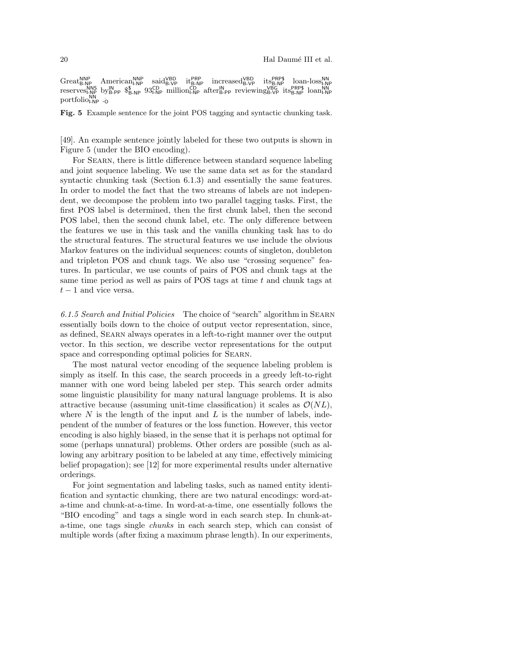Great<sub>B-NP</sub> American<sub>LNP</sub> said<sup>VBD</sup> it<sub>B-NP</sub> increased<sup>VBD</sup> it<sub>S</sub>PRP\$ loan-loss<sub>LNP</sub><br>reserves<sub>LNP</sub> by<sub>B-PP</sub> \$<sub>5-NP</sub> 93<sub>LNP</sub> million<sub>LNP</sub> after<sub>B-PP</sub> reviewing<sub>E-VP</sub> its<sub>B-NP</sub> loan<sub>LNP</sub><br>reserves<sub>LNP</sub> by<sub>B-PP</sub> \$<sub>5-NP</sub> 93<sub>LN</sub> portfolion<sub>NP</sub>

Fig. 5 Example sentence for the joint POS tagging and syntactic chunking task.

[49]. An example sentence jointly labeled for these two outputs is shown in Figure 5 (under the BIO encoding).

For Searn, there is little difference between standard sequence labeling and joint sequence labeling. We use the same data set as for the standard syntactic chunking task (Section 6.1.3) and essentially the same features. In order to model the fact that the two streams of labels are not independent, we decompose the problem into two parallel tagging tasks. First, the first POS label is determined, then the first chunk label, then the second POS label, then the second chunk label, etc. The only difference between the features we use in this task and the vanilla chunking task has to do the structural features. The structural features we use include the obvious Markov features on the individual sequences: counts of singleton, doubleton and tripleton POS and chunk tags. We also use "crossing sequence" features. In particular, we use counts of pairs of POS and chunk tags at the same time period as well as pairs of POS tags at time  $t$  and chunk tags at  $t-1$  and vice versa.

6.1.5 Search and Initial Policies The choice of "search" algorithm in Searn essentially boils down to the choice of output vector representation, since, as defined, Searn always operates in a left-to-right manner over the output vector. In this section, we describe vector representations for the output space and corresponding optimal policies for SEARN.

The most natural vector encoding of the sequence labeling problem is simply as itself. In this case, the search proceeds in a greedy left-to-right manner with one word being labeled per step. This search order admits some linguistic plausibility for many natural language problems. It is also attractive because (assuming unit-time classification) it scales as  $\mathcal{O}(NL)$ , where  $N$  is the length of the input and  $L$  is the number of labels, independent of the number of features or the loss function. However, this vector encoding is also highly biased, in the sense that it is perhaps not optimal for some (perhaps unnatural) problems. Other orders are possible (such as allowing any arbitrary position to be labeled at any time, effectively mimicing belief propagation); see [12] for more experimental results under alternative orderings.

For joint segmentation and labeling tasks, such as named entity identification and syntactic chunking, there are two natural encodings: word-ata-time and chunk-at-a-time. In word-at-a-time, one essentially follows the "BIO encoding" and tags a single word in each search step. In chunk-ata-time, one tags single chunks in each search step, which can consist of multiple words (after fixing a maximum phrase length). In our experiments,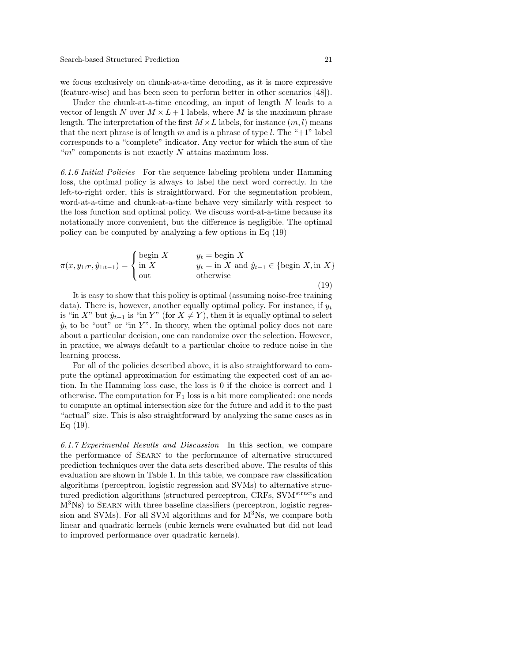we focus exclusively on chunk-at-a-time decoding, as it is more expressive (feature-wise) and has been seen to perform better in other scenarios [48]).

Under the chunk-at-a-time encoding, an input of length  $N$  leads to a vector of length N over  $M \times L + 1$  labels, where M is the maximum phrase length. The interpretation of the first  $M \times L$  labels, for instance  $(m, l)$  means that the next phrase is of length m and is a phrase of type  $l$ . The "+1" label corresponds to a "complete" indicator. Any vector for which the sum of the " $m$ " components is not exactly N attains maximum loss.

6.1.6 Initial Policies For the sequence labeling problem under Hamming loss, the optimal policy is always to label the next word correctly. In the left-to-right order, this is straightforward. For the segmentation problem, word-at-a-time and chunk-at-a-time behave very similarly with respect to the loss function and optimal policy. We discuss word-at-a-time because its notationally more convenient, but the difference is negligible. The optimal policy can be computed by analyzing a few options in Eq (19)

$$
\pi(x, y_{1:T}, \hat{y}_{1:t-1}) = \begin{cases}\n\text{begin } X & y_t = \text{begin } X \\
\text{in } X \\
\text{out}\n\end{cases} & y_t = \text{in } X \text{ and } \hat{y}_{t-1} \in \{\text{begin } X, \text{in } X\} \\
\text{begin } X, \text{in } X\}\n\end{cases}
$$

(19)

It is easy to show that this policy is optimal (assuming noise-free training data). There is, however, another equally optimal policy. For instance, if  $y_t$ is "in X" but  $\hat{y}_{t-1}$  is "in Y" (for  $X \neq Y$ ), then it is equally optimal to select  $\hat{y}_t$  to be "out" or "in Y". In theory, when the optimal policy does not care about a particular decision, one can randomize over the selection. However, in practice, we always default to a particular choice to reduce noise in the learning process.

For all of the policies described above, it is also straightforward to compute the optimal approximation for estimating the expected cost of an action. In the Hamming loss case, the loss is 0 if the choice is correct and 1 otherwise. The computation for  $F_1$  loss is a bit more complicated: one needs to compute an optimal intersection size for the future and add it to the past "actual" size. This is also straightforward by analyzing the same cases as in  $Eq(19)$ .

6.1.7 Experimental Results and Discussion In this section, we compare the performance of Searn to the performance of alternative structured prediction techniques over the data sets described above. The results of this evaluation are shown in Table 1. In this table, we compare raw classification algorithms (perceptron, logistic regression and SVMs) to alternative structured prediction algorithms (structured perceptron, CRFs, SVM<sup>struct</sup>s and M<sup>3</sup>Ns) to Searn with three baseline classifiers (perceptron, logistic regression and SVMs). For all SVM algorithms and for M<sup>3</sup>Ns, we compare both linear and quadratic kernels (cubic kernels were evaluated but did not lead to improved performance over quadratic kernels).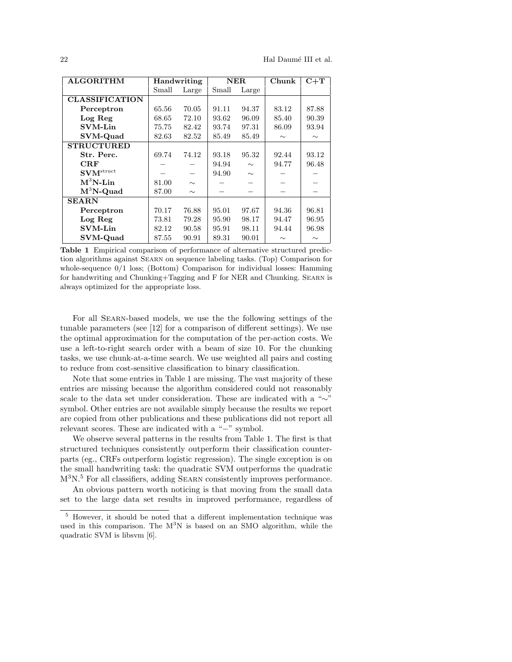| <b>ALGORITHM</b>             | Handwriting |        | ${\bf NER}$ |        | Chunk  | $C+T$  |
|------------------------------|-------------|--------|-------------|--------|--------|--------|
|                              | Small       | Large  | Small       | Large  |        |        |
| <b>CLASSIFICATION</b>        |             |        |             |        |        |        |
| Perceptron                   | 65.56       | 70.05  | 91.11       | 94.37  | 83.12  | 87.88  |
| Log Reg                      | 68.65       | 72.10  | 93.62       | 96.09  | 85.40  | 90.39  |
| <b>SVM-Lin</b>               | 75.75       | 82.42  | 93.74       | 97.31  | 86.09  | 93.94  |
| <b>SVM-Quad</b>              | 82.63       | 82.52  | 85.49       | 85.49  | $\sim$ | $\sim$ |
| <b>STRUCTURED</b>            |             |        |             |        |        |        |
| Str. Perc.                   | 69.74       | 74.12  | 93.18       | 95.32  | 92.44  | 93.12  |
| CRF                          |             |        | 94.94       | $\sim$ | 94.77  | 96.48  |
| $\mathbf{SVM}^\text{struct}$ |             |        | 94.90       | $\sim$ |        |        |
| $M^3N$ -Lin                  | 81.00       | $\sim$ |             |        |        |        |
| $M^3N$ -Quad                 | 87.00       | $\sim$ |             |        |        |        |
| <b>SEARN</b>                 |             |        |             |        |        |        |
| Perceptron                   | 70.17       | 76.88  | 95.01       | 97.67  | 94.36  | 96.81  |
| Log Reg                      | 73.81       | 79.28  | 95.90       | 98.17  | 94.47  | 96.95  |
| <b>SVM-Lin</b>               | 82.12       | 90.58  | 95.91       | 98.11  | 94.44  | 96.98  |
| SVM-Quad                     | 87.55       | 90.91  | 89.31       | 90.01  | $\sim$ | $\sim$ |

Table 1 Empirical comparison of performance of alternative structured prediction algorithms against Searn on sequence labeling tasks. (Top) Comparison for whole-sequence  $0/1$  loss; (Bottom) Comparison for individual losses: Hamming for handwriting and Chunking+Tagging and F for NER and Chunking. Searn is always optimized for the appropriate loss.

For all Searn-based models, we use the the following settings of the tunable parameters (see [12] for a comparison of different settings). We use the optimal approximation for the computation of the per-action costs. We use a left-to-right search order with a beam of size 10. For the chunking tasks, we use chunk-at-a-time search. We use weighted all pairs and costing to reduce from cost-sensitive classification to binary classification.

Note that some entries in Table 1 are missing. The vast majority of these entries are missing because the algorithm considered could not reasonably scale to the data set under consideration. These are indicated with a "∼" symbol. Other entries are not available simply because the results we report are copied from other publications and these publications did not report all relevant scores. These are indicated with a "−" symbol.

We observe several patterns in the results from Table 1. The first is that structured techniques consistently outperform their classification counterparts (eg., CRFs outperform logistic regression). The single exception is on the small handwriting task: the quadratic SVM outperforms the quadratic  $M<sup>3</sup>N<sup>5</sup>$  For all classifiers, adding SEARN consistently improves performance.

An obvious pattern worth noticing is that moving from the small data set to the large data set results in improved performance, regardless of

<sup>5</sup> However, it should be noted that a different implementation technique was used in this comparison. The  $M^3N$  is based on an SMO algorithm, while the quadratic SVM is libsvm [6].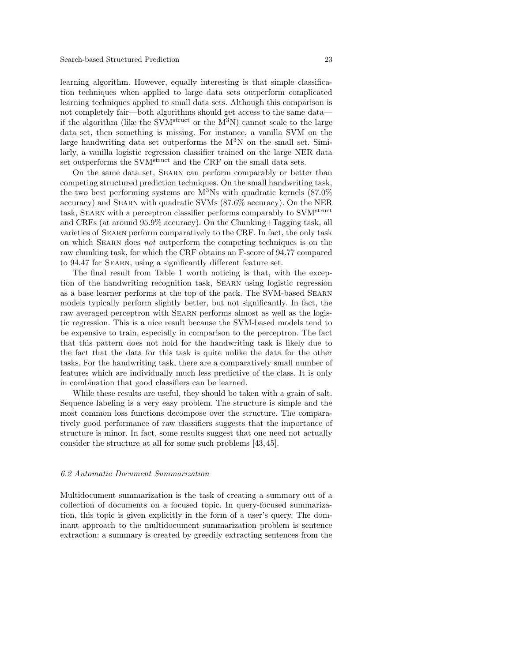learning algorithm. However, equally interesting is that simple classification techniques when applied to large data sets outperform complicated learning techniques applied to small data sets. Although this comparison is not completely fair—both algorithms should get access to the same data if the algorithm (like the SVM<sup>struct</sup> or the  $M^3N$ ) cannot scale to the large data set, then something is missing. For instance, a vanilla SVM on the large handwriting data set outperforms the  $M<sup>3</sup>N$  on the small set. Similarly, a vanilla logistic regression classifier trained on the large NER data set outperforms the SVM<sup>struct</sup> and the CRF on the small data sets.

On the same data set, Searn can perform comparably or better than competing structured prediction techniques. On the small handwriting task, the two best performing systems are  $M<sup>3</sup>Ns$  with quadratic kernels  $(87.0\%$ accuracy) and Searn with quadratic SVMs (87.6% accuracy). On the NER task, SEARN with a perceptron classifier performs comparably to SVM<sup>struct</sup> and CRFs (at around 95.9% accuracy). On the Chunking+Tagging task, all varieties of Searn perform comparatively to the CRF. In fact, the only task on which Searn does not outperform the competing techniques is on the raw chunking task, for which the CRF obtains an F-score of 94.77 compared to 94.47 for Searn, using a significantly different feature set.

The final result from Table 1 worth noticing is that, with the exception of the handwriting recognition task, Searn using logistic regression as a base learner performs at the top of the pack. The SVM-based Searn models typically perform slightly better, but not significantly. In fact, the raw averaged perceptron with Searn performs almost as well as the logistic regression. This is a nice result because the SVM-based models tend to be expensive to train, especially in comparison to the perceptron. The fact that this pattern does not hold for the handwriting task is likely due to the fact that the data for this task is quite unlike the data for the other tasks. For the handwriting task, there are a comparatively small number of features which are individually much less predictive of the class. It is only in combination that good classifiers can be learned.

While these results are useful, they should be taken with a grain of salt. Sequence labeling is a very easy problem. The structure is simple and the most common loss functions decompose over the structure. The comparatively good performance of raw classifiers suggests that the importance of structure is minor. In fact, some results suggest that one need not actually consider the structure at all for some such problems [43,45].

## 6.2 Automatic Document Summarization

Multidocument summarization is the task of creating a summary out of a collection of documents on a focused topic. In query-focused summarization, this topic is given explicitly in the form of a user's query. The dominant approach to the multidocument summarization problem is sentence extraction: a summary is created by greedily extracting sentences from the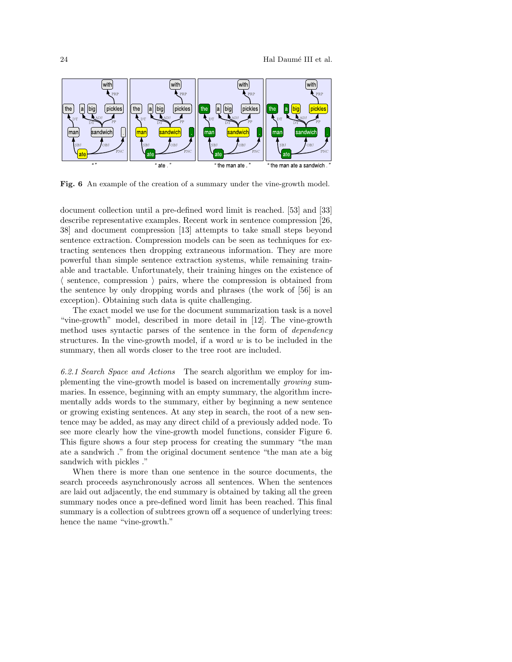

Fig. 6 An example of the creation of a summary under the vine-growth model.

document collection until a pre-defined word limit is reached. [53] and [33] describe representative examples. Recent work in sentence compression [26, 38] and document compression [13] attempts to take small steps beyond sentence extraction. Compression models can be seen as techniques for extracting sentences then dropping extraneous information. They are more powerful than simple sentence extraction systems, while remaining trainable and tractable. Unfortunately, their training hinges on the existence of  $\langle$  sentence, compression  $\rangle$  pairs, where the compression is obtained from the sentence by only dropping words and phrases (the work of [56] is an exception). Obtaining such data is quite challenging.

The exact model we use for the document summarization task is a novel "vine-growth" model, described in more detail in [12]. The vine-growth method uses syntactic parses of the sentence in the form of dependency structures. In the vine-growth model, if a word  $w$  is to be included in the summary, then all words closer to the tree root are included.

6.2.1 Search Space and Actions The search algorithm we employ for implementing the vine-growth model is based on incrementally growing summaries. In essence, beginning with an empty summary, the algorithm incrementally adds words to the summary, either by beginning a new sentence or growing existing sentences. At any step in search, the root of a new sentence may be added, as may any direct child of a previously added node. To see more clearly how the vine-growth model functions, consider Figure 6. This figure shows a four step process for creating the summary "the man ate a sandwich ." from the original document sentence "the man ate a big sandwich with pickles ."

When there is more than one sentence in the source documents, the search proceeds asynchronously across all sentences. When the sentences are laid out adjacently, the end summary is obtained by taking all the green summary nodes once a pre-defined word limit has been reached. This final summary is a collection of subtrees grown off a sequence of underlying trees: hence the name "vine-growth."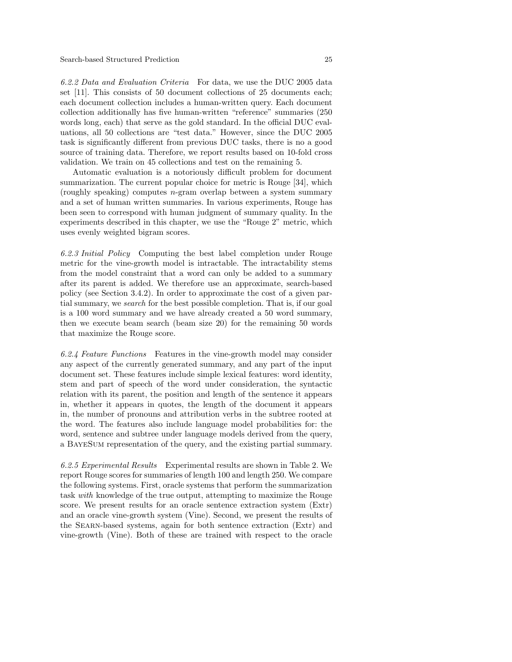6.2.2 Data and Evaluation Criteria For data, we use the DUC 2005 data set [11]. This consists of 50 document collections of 25 documents each; each document collection includes a human-written query. Each document collection additionally has five human-written "reference" summaries (250 words long, each) that serve as the gold standard. In the official DUC evaluations, all 50 collections are "test data." However, since the DUC 2005 task is significantly different from previous DUC tasks, there is no a good source of training data. Therefore, we report results based on 10-fold cross validation. We train on 45 collections and test on the remaining 5.

Automatic evaluation is a notoriously difficult problem for document summarization. The current popular choice for metric is Rouge [34], which (roughly speaking) computes n-gram overlap between a system summary and a set of human written summaries. In various experiments, Rouge has been seen to correspond with human judgment of summary quality. In the experiments described in this chapter, we use the "Rouge 2" metric, which uses evenly weighted bigram scores.

6.2.3 Initial Policy Computing the best label completion under Rouge metric for the vine-growth model is intractable. The intractability stems from the model constraint that a word can only be added to a summary after its parent is added. We therefore use an approximate, search-based policy (see Section 3.4.2). In order to approximate the cost of a given partial summary, we search for the best possible completion. That is, if our goal is a 100 word summary and we have already created a 50 word summary, then we execute beam search (beam size 20) for the remaining 50 words that maximize the Rouge score.

6.2.4 Feature Functions Features in the vine-growth model may consider any aspect of the currently generated summary, and any part of the input document set. These features include simple lexical features: word identity, stem and part of speech of the word under consideration, the syntactic relation with its parent, the position and length of the sentence it appears in, whether it appears in quotes, the length of the document it appears in, the number of pronouns and attribution verbs in the subtree rooted at the word. The features also include language model probabilities for: the word, sentence and subtree under language models derived from the query, a BayeSum representation of the query, and the existing partial summary.

6.2.5 Experimental Results Experimental results are shown in Table 2. We report Rouge scores for summaries of length 100 and length 250. We compare the following systems. First, oracle systems that perform the summarization task with knowledge of the true output, attempting to maximize the Rouge score. We present results for an oracle sentence extraction system (Extr) and an oracle vine-growth system (Vine). Second, we present the results of the Searn-based systems, again for both sentence extraction (Extr) and vine-growth (Vine). Both of these are trained with respect to the oracle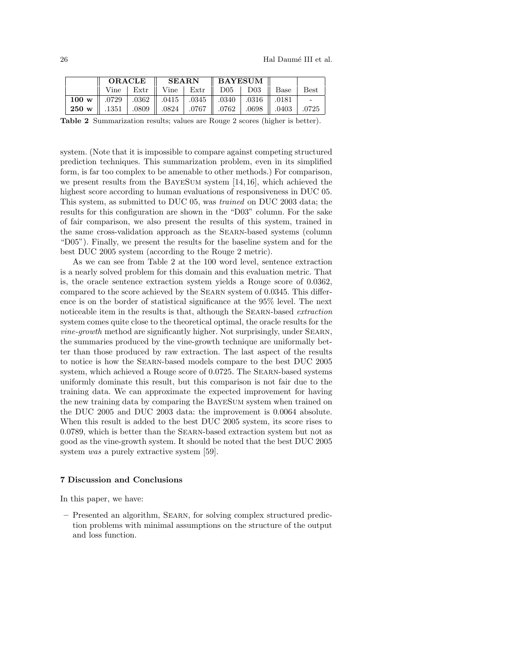|                                                                                                    |  |  | $\parallel$ ORACLE $\parallel$ SEARN $\parallel$ BAYESUM $\parallel$ |  |  |  |                                                        |  |
|----------------------------------------------------------------------------------------------------|--|--|----------------------------------------------------------------------|--|--|--|--------------------------------------------------------|--|
|                                                                                                    |  |  |                                                                      |  |  |  | Vine   Extr    Vine   Extr    D05   D03    Base   Best |  |
| 100 w    0729   0362    0415   0345    0340   0316    0181    -                                    |  |  |                                                                      |  |  |  |                                                        |  |
| 0725.   0809.    0767.    0767.    0767.    0762.    0824.    0762.    083.    0824.    0762.    0 |  |  |                                                                      |  |  |  |                                                        |  |

Table 2 Summarization results; values are Rouge 2 scores (higher is better).

system. (Note that it is impossible to compare against competing structured prediction techniques. This summarization problem, even in its simplified form, is far too complex to be amenable to other methods.) For comparison, we present results from the BayeSum system [14,16], which achieved the highest score according to human evaluations of responsiveness in DUC 05. This system, as submitted to DUC 05, was trained on DUC 2003 data; the results for this configuration are shown in the "D03" column. For the sake of fair comparison, we also present the results of this system, trained in the same cross-validation approach as the Searn-based systems (column "D05"). Finally, we present the results for the baseline system and for the best DUC 2005 system (according to the Rouge 2 metric).

As we can see from Table 2 at the 100 word level, sentence extraction is a nearly solved problem for this domain and this evaluation metric. That is, the oracle sentence extraction system yields a Rouge score of 0.0362, compared to the score achieved by the Searn system of 0.0345. This difference is on the border of statistical significance at the 95% level. The next noticeable item in the results is that, although the Searn-based extraction system comes quite close to the theoretical optimal, the oracle results for the vine-growth method are significantly higher. Not surprisingly, under Searn, the summaries produced by the vine-growth technique are uniformally better than those produced by raw extraction. The last aspect of the results to notice is how the Searn-based models compare to the best DUC 2005 system, which achieved a Rouge score of 0.0725. The Searn-based systems uniformly dominate this result, but this comparison is not fair due to the training data. We can approximate the expected improvement for having the new training data by comparing the BayeSum system when trained on the DUC 2005 and DUC 2003 data: the improvement is 0.0064 absolute. When this result is added to the best DUC 2005 system, its score rises to 0.0789, which is better than the Searn-based extraction system but not as good as the vine-growth system. It should be noted that the best DUC 2005 system was a purely extractive system [59].

#### 7 Discussion and Conclusions

In this paper, we have:

– Presented an algorithm, Searn, for solving complex structured prediction problems with minimal assumptions on the structure of the output and loss function.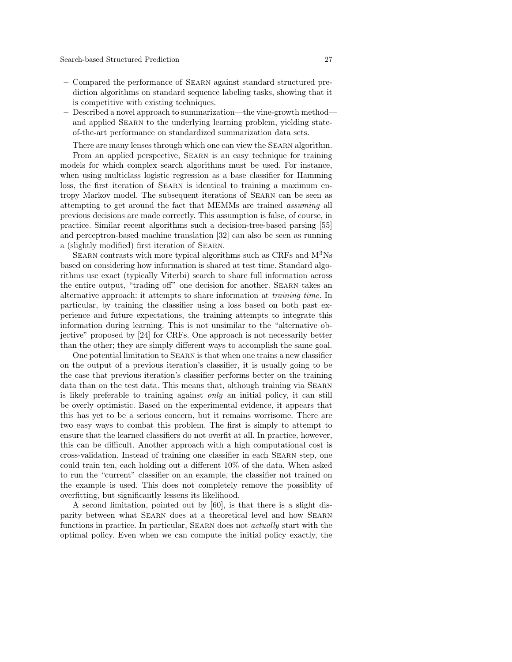- Compared the performance of Searn against standard structured prediction algorithms on standard sequence labeling tasks, showing that it is competitive with existing techniques.
- Described a novel approach to summarization—the vine-growth method and applied SEARN to the underlying learning problem, yielding stateof-the-art performance on standardized summarization data sets.

There are many lenses through which one can view the SEARN algorithm.

From an applied perspective, SEARN is an easy technique for training models for which complex search algorithms must be used. For instance, when using multiclass logistic regression as a base classifier for Hamming loss, the first iteration of SEARN is identical to training a maximum entropy Markov model. The subsequent iterations of Searn can be seen as attempting to get around the fact that MEMMs are trained assuming all previous decisions are made correctly. This assumption is false, of course, in practice. Similar recent algorithms such a decision-tree-based parsing [55] and perceptron-based machine translation [32] can also be seen as running a (slightly modified) first iteration of Searn.

SEARN contrasts with more typical algorithms such as CRFs and  $M<sup>3</sup>Ns$ based on considering how information is shared at test time. Standard algorithms use exact (typically Viterbi) search to share full information across the entire output, "trading off" one decision for another. Searn takes an alternative approach: it attempts to share information at training time. In particular, by training the classifier using a loss based on both past experience and future expectations, the training attempts to integrate this information during learning. This is not unsimilar to the "alternative objective" proposed by [24] for CRFs. One approach is not necessarily better than the other; they are simply different ways to accomplish the same goal.

One potential limitation to Searn is that when one trains a new classifier on the output of a previous iteration's classifier, it is usually going to be the case that previous iteration's classifier performs better on the training data than on the test data. This means that, although training via Searn is likely preferable to training against only an initial policy, it can still be overly optimistic. Based on the experimental evidence, it appears that this has yet to be a serious concern, but it remains worrisome. There are two easy ways to combat this problem. The first is simply to attempt to ensure that the learned classifiers do not overfit at all. In practice, however, this can be difficult. Another approach with a high computational cost is cross-validation. Instead of training one classifier in each Searn step, one could train ten, each holding out a different 10% of the data. When asked to run the "current" classifier on an example, the classifier not trained on the example is used. This does not completely remove the possiblity of overfitting, but significantly lessens its likelihood.

A second limitation, pointed out by [60], is that there is a slight disparity between what Searn does at a theoretical level and how Searn functions in practice. In particular, SEARN does not *actually* start with the optimal policy. Even when we can compute the initial policy exactly, the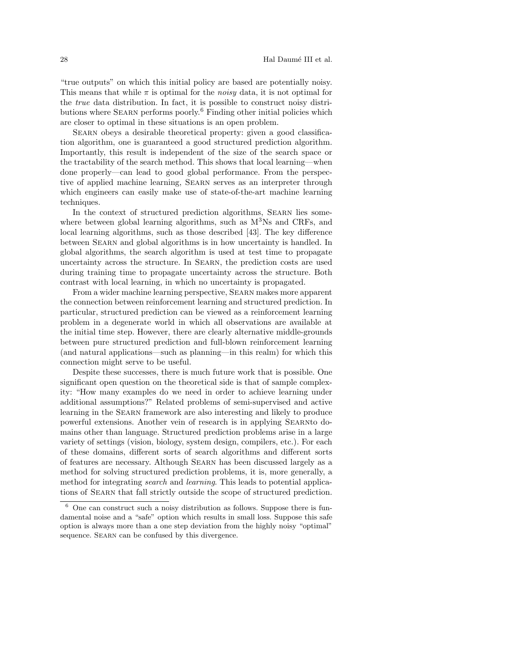"true outputs" on which this initial policy are based are potentially noisy. This means that while  $\pi$  is optimal for the noisy data, it is not optimal for the true data distribution. In fact, it is possible to construct noisy distributions where SEARN performs poorly.<sup>6</sup> Finding other initial policies which are closer to optimal in these situations is an open problem.

SEARN obeys a desirable theoretical property: given a good classification algorithm, one is guaranteed a good structured prediction algorithm. Importantly, this result is independent of the size of the search space or the tractability of the search method. This shows that local learning—when done properly—can lead to good global performance. From the perspective of applied machine learning, Searn serves as an interpreter through which engineers can easily make use of state-of-the-art machine learning techniques.

In the context of structured prediction algorithms, SEARN lies somewhere between global learning algorithms, such as  $M<sup>3</sup>Ns$  and CRFs, and local learning algorithms, such as those described [43]. The key difference between Searn and global algorithms is in how uncertainty is handled. In global algorithms, the search algorithm is used at test time to propagate uncertainty across the structure. In Searn, the prediction costs are used during training time to propagate uncertainty across the structure. Both contrast with local learning, in which no uncertainty is propagated.

From a wider machine learning perspective, Searn makes more apparent the connection between reinforcement learning and structured prediction. In particular, structured prediction can be viewed as a reinforcement learning problem in a degenerate world in which all observations are available at the initial time step. However, there are clearly alternative middle-grounds between pure structured prediction and full-blown reinforcement learning (and natural applications—such as planning—in this realm) for which this connection might serve to be useful.

Despite these successes, there is much future work that is possible. One significant open question on the theoretical side is that of sample complexity: "How many examples do we need in order to achieve learning under additional assumptions?" Related problems of semi-supervised and active learning in the Searn framework are also interesting and likely to produce powerful extensions. Another vein of research is in applying Searnto domains other than language. Structured prediction problems arise in a large variety of settings (vision, biology, system design, compilers, etc.). For each of these domains, different sorts of search algorithms and different sorts of features are necessary. Although Searn has been discussed largely as a method for solving structured prediction problems, it is, more generally, a method for integrating *search* and *learning*. This leads to potential applications of Searn that fall strictly outside the scope of structured prediction.

 $6$  One can construct such a noisy distribution as follows. Suppose there is fundamental noise and a "safe" option which results in small loss. Suppose this safe option is always more than a one step deviation from the highly noisy "optimal" sequence. SEARN can be confused by this divergence.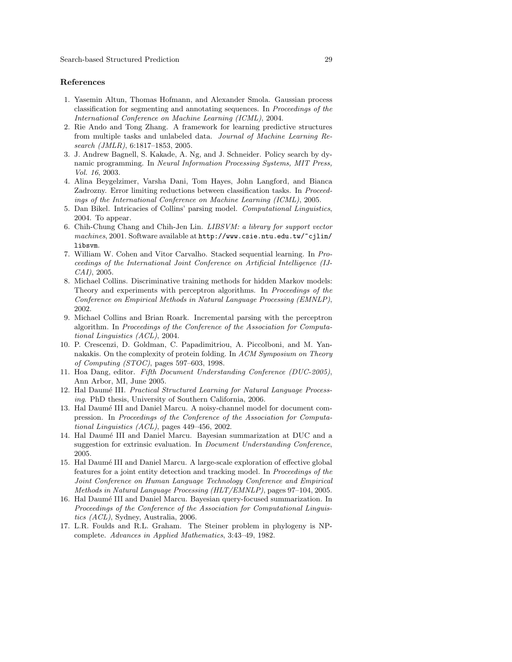#### References

- 1. Yasemin Altun, Thomas Hofmann, and Alexander Smola. Gaussian process classification for segmenting and annotating sequences. In Proceedings of the International Conference on Machine Learning (ICML), 2004.
- 2. Rie Ando and Tong Zhang. A framework for learning predictive structures from multiple tasks and unlabeled data. Journal of Machine Learning Research (JMLR), 6:1817–1853, 2005.
- 3. J. Andrew Bagnell, S. Kakade, A. Ng, and J. Schneider. Policy search by dynamic programming. In Neural Information Processing Systems, MIT Press, Vol. 16, 2003.
- 4. Alina Beygelzimer, Varsha Dani, Tom Hayes, John Langford, and Bianca Zadrozny. Error limiting reductions between classification tasks. In Proceedings of the International Conference on Machine Learning (ICML), 2005.
- 5. Dan Bikel. Intricacies of Collins' parsing model. Computational Linguistics, 2004. To appear.
- 6. Chih-Chung Chang and Chih-Jen Lin. LIBSVM: a library for support vector machines, 2001. Software available at  $http://www.csie.ntu.edu.tw/~cilin/$ libsvm.
- 7. William W. Cohen and Vitor Carvalho. Stacked sequential learning. In Proceedings of the International Joint Conference on Artificial Intelligence (IJ-CAI), 2005.
- 8. Michael Collins. Discriminative training methods for hidden Markov models: Theory and experiments with perceptron algorithms. In Proceedings of the Conference on Empirical Methods in Natural Language Processing (EMNLP), 2002.
- 9. Michael Collins and Brian Roark. Incremental parsing with the perceptron algorithm. In Proceedings of the Conference of the Association for Computational Linguistics (ACL), 2004.
- 10. P. Crescenzi, D. Goldman, C. Papadimitriou, A. Piccolboni, and M. Yannakakis. On the complexity of protein folding. In ACM Symposium on Theory of Computing (STOC), pages 597–603, 1998.
- 11. Hoa Dang, editor. Fifth Document Understanding Conference (DUC-2005), Ann Arbor, MI, June 2005.
- 12. Hal Daumé III. Practical Structured Learning for Natural Language Processing. PhD thesis, University of Southern California, 2006.
- 13. Hal Daum´e III and Daniel Marcu. A noisy-channel model for document compression. In Proceedings of the Conference of the Association for Computational Linguistics (ACL), pages 449–456, 2002.
- 14. Hal Daum´e III and Daniel Marcu. Bayesian summarization at DUC and a suggestion for extrinsic evaluation. In Document Understanding Conference, 2005.
- 15. Hal Daumé III and Daniel Marcu. A large-scale exploration of effective global features for a joint entity detection and tracking model. In Proceedings of the Joint Conference on Human Language Technology Conference and Empirical Methods in Natural Language Processing (HLT/EMNLP), pages 97–104, 2005.
- 16. Hal Daum´e III and Daniel Marcu. Bayesian query-focused summarization. In Proceedings of the Conference of the Association for Computational Linguistics (ACL), Sydney, Australia, 2006.
- 17. L.R. Foulds and R.L. Graham. The Steiner problem in phylogeny is NPcomplete. Advances in Applied Mathematics, 3:43–49, 1982.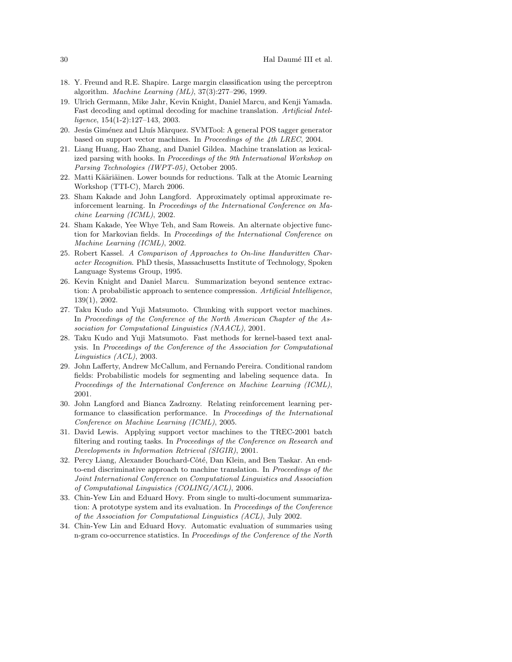- 18. Y. Freund and R.E. Shapire. Large margin classification using the perceptron algorithm. Machine Learning (ML), 37(3):277–296, 1999.
- 19. Ulrich Germann, Mike Jahr, Kevin Knight, Daniel Marcu, and Kenji Yamada. Fast decoding and optimal decoding for machine translation. Artificial Intelligence, 154(1-2):127–143, 2003.
- 20. Jesus Giménez and Lluís Màrquez. SVMTool: A general POS tagger generator based on support vector machines. In Proceedings of the 4th LREC, 2004.
- 21. Liang Huang, Hao Zhang, and Daniel Gildea. Machine translation as lexicalized parsing with hooks. In Proceedings of the 9th International Workshop on Parsing Technologies (IWPT-05), October 2005.
- 22. Matti Kääriäinen. Lower bounds for reductions. Talk at the Atomic Learning Workshop (TTI-C), March 2006.
- 23. Sham Kakade and John Langford. Approximately optimal approximate reinforcement learning. In Proceedings of the International Conference on Machine Learning (ICML), 2002.
- 24. Sham Kakade, Yee Whye Teh, and Sam Roweis. An alternate objective function for Markovian fields. In Proceedings of the International Conference on Machine Learning (ICML), 2002.
- 25. Robert Kassel. A Comparison of Approaches to On-line Handwritten Character Recognition. PhD thesis, Massachusetts Institute of Technology, Spoken Language Systems Group, 1995.
- 26. Kevin Knight and Daniel Marcu. Summarization beyond sentence extraction: A probabilistic approach to sentence compression. Artificial Intelligence, 139(1), 2002.
- 27. Taku Kudo and Yuji Matsumoto. Chunking with support vector machines. In Proceedings of the Conference of the North American Chapter of the Association for Computational Linguistics (NAACL), 2001.
- 28. Taku Kudo and Yuji Matsumoto. Fast methods for kernel-based text analysis. In Proceedings of the Conference of the Association for Computational Linguistics (ACL), 2003.
- 29. John Lafferty, Andrew McCallum, and Fernando Pereira. Conditional random fields: Probabilistic models for segmenting and labeling sequence data. In Proceedings of the International Conference on Machine Learning (ICML), 2001.
- 30. John Langford and Bianca Zadrozny. Relating reinforcement learning performance to classification performance. In Proceedings of the International Conference on Machine Learning (ICML), 2005.
- 31. David Lewis. Applying support vector machines to the TREC-2001 batch filtering and routing tasks. In Proceedings of the Conference on Research and Developments in Information Retrieval (SIGIR), 2001.
- 32. Percy Liang, Alexander Bouchard-Côté, Dan Klein, and Ben Taskar. An endto-end discriminative approach to machine translation. In Proceedings of the Joint International Conference on Computational Linguistics and Association of Computational Linguistics (COLING/ACL), 2006.
- 33. Chin-Yew Lin and Eduard Hovy. From single to multi-document summarization: A prototype system and its evaluation. In Proceedings of the Conference of the Association for Computational Linguistics (ACL), July 2002.
- 34. Chin-Yew Lin and Eduard Hovy. Automatic evaluation of summaries using n-gram co-occurrence statistics. In Proceedings of the Conference of the North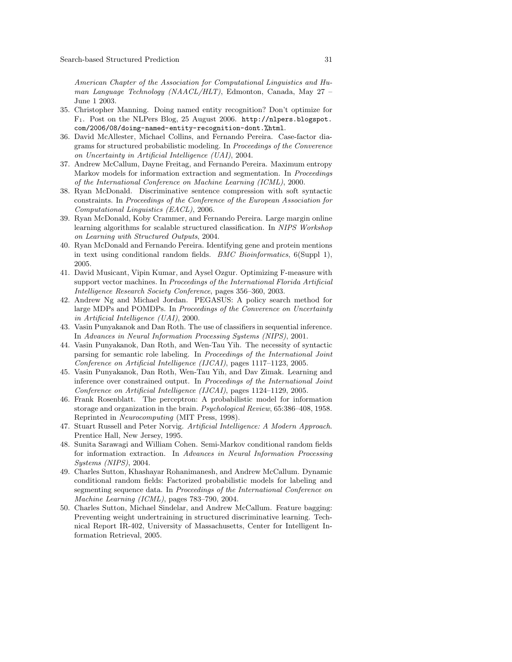American Chapter of the Association for Computational Linguistics and Human Language Technology (NAACL/HLT), Edmonton, Canada, May 27 – June 1 2003.

- 35. Christopher Manning. Doing named entity recognition? Don't optimize for F1. Post on the NLPers Blog, 25 August 2006. http://nlpers.blogspot. com/2006/08/doing-named-entity-recognition-dont.%html.
- 36. David McAllester, Michael Collins, and Fernando Pereira. Case-factor diagrams for structured probabilistic modeling. In Proceedings of the Converence on Uncertainty in Artificial Intelligence (UAI), 2004.
- 37. Andrew McCallum, Dayne Freitag, and Fernando Pereira. Maximum entropy Markov models for information extraction and segmentation. In Proceedings of the International Conference on Machine Learning (ICML), 2000.
- 38. Ryan McDonald. Discriminative sentence compression with soft syntactic constraints. In Proceedings of the Conference of the European Association for Computational Linguistics (EACL), 2006.
- 39. Ryan McDonald, Koby Crammer, and Fernando Pereira. Large margin online learning algorithms for scalable structured classification. In NIPS Workshop on Learning with Structured Outputs, 2004.
- 40. Ryan McDonald and Fernando Pereira. Identifying gene and protein mentions in text using conditional random fields. BMC Bioinformatics, 6(Suppl 1), 2005.
- 41. David Musicant, Vipin Kumar, and Aysel Ozgur. Optimizing F-measure with support vector machines. In Proceedings of the International Florida Artificial Intelligence Research Society Conference, pages 356–360, 2003.
- 42. Andrew Ng and Michael Jordan. PEGASUS: A policy search method for large MDPs and POMDPs. In Proceedings of the Converence on Uncertainty in Artificial Intelligence (UAI), 2000.
- 43. Vasin Punyakanok and Dan Roth. The use of classifiers in sequential inference. In Advances in Neural Information Processing Systems (NIPS), 2001.
- 44. Vasin Punyakanok, Dan Roth, and Wen-Tau Yih. The necessity of syntactic parsing for semantic role labeling. In Proceedings of the International Joint Conference on Artificial Intelligence (IJCAI), pages 1117–1123, 2005.
- 45. Vasin Punyakanok, Dan Roth, Wen-Tau Yih, and Dav Zimak. Learning and inference over constrained output. In Proceedings of the International Joint Conference on Artificial Intelligence (IJCAI), pages 1124–1129, 2005.
- 46. Frank Rosenblatt. The perceptron: A probabilistic model for information storage and organization in the brain. Psychological Review, 65:386–408, 1958. Reprinted in Neurocomputing (MIT Press, 1998).
- 47. Stuart Russell and Peter Norvig. Artificial Intelligence: A Modern Approach. Prentice Hall, New Jersey, 1995.
- 48. Sunita Sarawagi and William Cohen. Semi-Markov conditional random fields for information extraction. In Advances in Neural Information Processing Systems (NIPS), 2004.
- 49. Charles Sutton, Khashayar Rohanimanesh, and Andrew McCallum. Dynamic conditional random fields: Factorized probabilistic models for labeling and segmenting sequence data. In Proceedings of the International Conference on Machine Learning (ICML), pages 783–790, 2004.
- 50. Charles Sutton, Michael Sindelar, and Andrew McCallum. Feature bagging: Preventing weight undertraining in structured discriminative learning. Technical Report IR-402, University of Massachusetts, Center for Intelligent Information Retrieval, 2005.